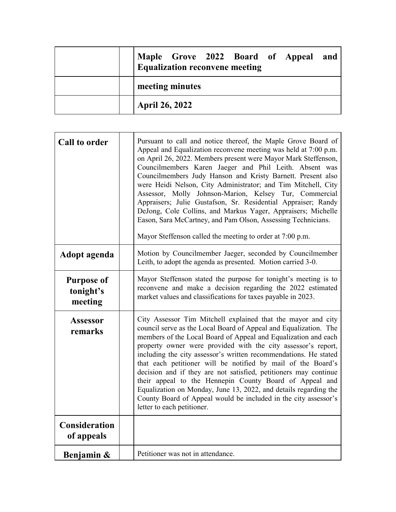| Maple Grove 2022 Board of Appeal and<br><b>Equalization reconvene meeting</b> |
|-------------------------------------------------------------------------------|
| meeting minutes                                                               |
| <b>April 26, 2022</b>                                                         |

| <b>Call to order</b>                      | Pursuant to call and notice thereof, the Maple Grove Board of<br>Appeal and Equalization reconvene meeting was held at 7:00 p.m.<br>on April 26, 2022. Members present were Mayor Mark Steffenson,<br>Councilmembers Karen Jaeger and Phil Leith. Absent was<br>Councilmembers Judy Hanson and Kristy Barnett. Present also<br>were Heidi Nelson, City Administrator; and Tim Mitchell, City<br>Assessor, Molly Johnson-Marion, Kelsey Tur, Commercial<br>Appraisers; Julie Gustafson, Sr. Residential Appraiser; Randy<br>DeJong, Cole Collins, and Markus Yager, Appraisers; Michelle<br>Eason, Sara McCartney, and Pam Olson, Assessing Technicians.<br>Mayor Steffenson called the meeting to order at 7:00 p.m. |
|-------------------------------------------|----------------------------------------------------------------------------------------------------------------------------------------------------------------------------------------------------------------------------------------------------------------------------------------------------------------------------------------------------------------------------------------------------------------------------------------------------------------------------------------------------------------------------------------------------------------------------------------------------------------------------------------------------------------------------------------------------------------------|
| Adopt agenda                              | Motion by Councilmember Jaeger, seconded by Councilmember<br>Leith, to adopt the agenda as presented. Motion carried 3-0.                                                                                                                                                                                                                                                                                                                                                                                                                                                                                                                                                                                            |
| <b>Purpose of</b><br>tonight's<br>meeting | Mayor Steffenson stated the purpose for tonight's meeting is to<br>reconvene and make a decision regarding the 2022 estimated<br>market values and classifications for taxes payable in 2023.                                                                                                                                                                                                                                                                                                                                                                                                                                                                                                                        |
| <b>Assessor</b><br>remarks                | City Assessor Tim Mitchell explained that the mayor and city<br>council serve as the Local Board of Appeal and Equalization. The<br>members of the Local Board of Appeal and Equalization and each<br>property owner were provided with the city assessor's report,<br>including the city assessor's written recommendations. He stated<br>that each petitioner will be notified by mail of the Board's<br>decision and if they are not satisfied, petitioners may continue<br>their appeal to the Hennepin County Board of Appeal and<br>Equalization on Monday, June 13, 2022, and details regarding the<br>County Board of Appeal would be included in the city assessor's<br>letter to each petitioner.          |
| Consideration<br>of appeals               |                                                                                                                                                                                                                                                                                                                                                                                                                                                                                                                                                                                                                                                                                                                      |
| Benjamin &                                | Petitioner was not in attendance.                                                                                                                                                                                                                                                                                                                                                                                                                                                                                                                                                                                                                                                                                    |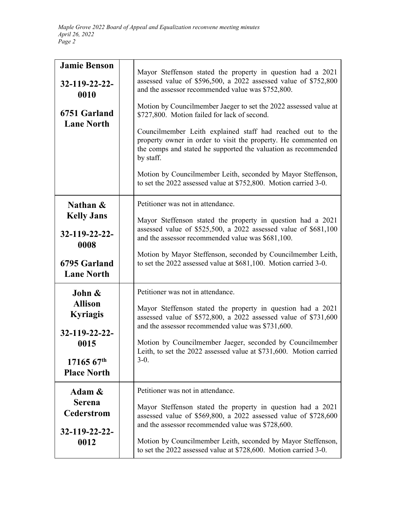| <b>Jamie Benson</b><br>$32 - 119 - 22 - 22$<br>0010<br>6751 Garland<br><b>Lane North</b> | Mayor Steffenson stated the property in question had a 2021<br>assessed value of \$596,500, a 2022 assessed value of \$752,800<br>and the assessor recommended value was \$752,800.<br>Motion by Councilmember Jaeger to set the 2022 assessed value at<br>\$727,800. Motion failed for lack of second.<br>Councilmember Leith explained staff had reached out to the<br>property owner in order to visit the property. He commented on<br>the comps and stated he supported the valuation as recommended<br>by staff.<br>Motion by Councilmember Leith, seconded by Mayor Steffenson,<br>to set the 2022 assessed value at \$752,800. Motion carried 3-0. |
|------------------------------------------------------------------------------------------|------------------------------------------------------------------------------------------------------------------------------------------------------------------------------------------------------------------------------------------------------------------------------------------------------------------------------------------------------------------------------------------------------------------------------------------------------------------------------------------------------------------------------------------------------------------------------------------------------------------------------------------------------------|
| Nathan &                                                                                 | Petitioner was not in attendance.                                                                                                                                                                                                                                                                                                                                                                                                                                                                                                                                                                                                                          |
| <b>Kelly Jans</b>                                                                        | Mayor Steffenson stated the property in question had a 2021                                                                                                                                                                                                                                                                                                                                                                                                                                                                                                                                                                                                |
| $32 - 119 - 22 - 22$                                                                     | assessed value of \$525,500, a 2022 assessed value of \$681,100                                                                                                                                                                                                                                                                                                                                                                                                                                                                                                                                                                                            |
| 0008                                                                                     | and the assessor recommended value was \$681,100.                                                                                                                                                                                                                                                                                                                                                                                                                                                                                                                                                                                                          |
| 6795 Garland                                                                             | Motion by Mayor Steffenson, seconded by Councilmember Leith,                                                                                                                                                                                                                                                                                                                                                                                                                                                                                                                                                                                               |
| <b>Lane North</b>                                                                        | to set the 2022 assessed value at \$681,100. Motion carried 3-0.                                                                                                                                                                                                                                                                                                                                                                                                                                                                                                                                                                                           |
| John &                                                                                   | Petitioner was not in attendance.                                                                                                                                                                                                                                                                                                                                                                                                                                                                                                                                                                                                                          |
| <b>Allison</b>                                                                           | Mayor Steffenson stated the property in question had a 2021                                                                                                                                                                                                                                                                                                                                                                                                                                                                                                                                                                                                |
| <b>Kyriagis</b>                                                                          | assessed value of \$572,800, a 2022 assessed value of \$731,600                                                                                                                                                                                                                                                                                                                                                                                                                                                                                                                                                                                            |
| 32-119-22-22-                                                                            | and the assessor recommended value was \$731,600.                                                                                                                                                                                                                                                                                                                                                                                                                                                                                                                                                                                                          |
| 0015                                                                                     | Motion by Councilmember Jaeger, seconded by Councilmember                                                                                                                                                                                                                                                                                                                                                                                                                                                                                                                                                                                                  |
| $1716567^{\text{th}}$                                                                    | Leith, to set the 2022 assessed value at \$731,600. Motion carried                                                                                                                                                                                                                                                                                                                                                                                                                                                                                                                                                                                         |
| <b>Place North</b>                                                                       | $3-0.$                                                                                                                                                                                                                                                                                                                                                                                                                                                                                                                                                                                                                                                     |
| Adam $\&$<br><b>Serena</b><br><b>Cederstrom</b><br>32-119-22-22-<br>0012                 | Petitioner was not in attendance.<br>Mayor Steffenson stated the property in question had a 2021<br>assessed value of \$569,800, a 2022 assessed value of \$728,600<br>and the assessor recommended value was \$728,600.<br>Motion by Councilmember Leith, seconded by Mayor Steffenson,<br>to set the 2022 assessed value at \$728,600. Motion carried 3-0.                                                                                                                                                                                                                                                                                               |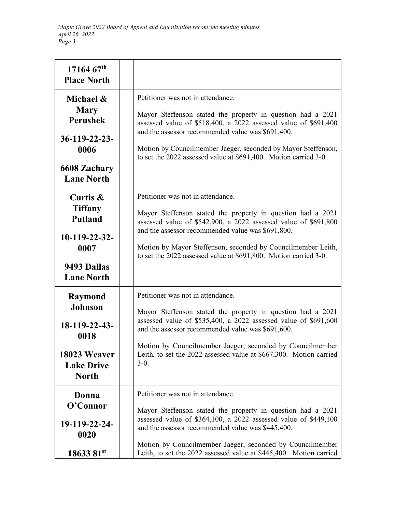| $1716467^{\text{th}}$<br><b>Place North</b>                                                                      |                                                                                                                                                                                                                                                                                                                                                                       |
|------------------------------------------------------------------------------------------------------------------|-----------------------------------------------------------------------------------------------------------------------------------------------------------------------------------------------------------------------------------------------------------------------------------------------------------------------------------------------------------------------|
| Michael &<br><b>Mary</b><br><b>Perushek</b><br>$36-119-22-23$ -<br>0006<br>6608 Zachary<br><b>Lane North</b>     | Petitioner was not in attendance.<br>Mayor Steffenson stated the property in question had a 2021<br>assessed value of \$518,400, a 2022 assessed value of \$691,400<br>and the assessor recommended value was \$691,400.<br>Motion by Councilmember Jaeger, seconded by Mayor Steffenson,<br>to set the 2022 assessed value at \$691,400. Motion carried 3-0.         |
| Curtis &<br><b>Tiffany</b><br><b>Putland</b><br>$10-119-22-32-$<br>0007<br>9493 Dallas<br><b>Lane North</b>      | Petitioner was not in attendance.<br>Mayor Steffenson stated the property in question had a 2021<br>assessed value of \$542,900, a 2022 assessed value of \$691,800<br>and the assessor recommended value was \$691,800.<br>Motion by Mayor Steffenson, seconded by Councilmember Leith,<br>to set the 2022 assessed value at \$691,800. Motion carried 3-0.          |
| <b>Raymond</b><br><b>Johnson</b><br>$18-119-22-43-$<br>0018<br>18023 Weaver<br><b>Lake Drive</b><br><b>North</b> | Petitioner was not in attendance.<br>Mayor Steffenson stated the property in question had a 2021<br>assessed value of \$535,400, a 2022 assessed value of \$691,600<br>and the assessor recommended value was \$691,600.<br>Motion by Councilmember Jaeger, seconded by Councilmember<br>Leith, to set the 2022 assessed value at \$667,300. Motion carried<br>$3-0.$ |
| Donna<br>O'Connor<br>19-119-22-24-<br>0020<br>18633 81st                                                         | Petitioner was not in attendance.<br>Mayor Steffenson stated the property in question had a 2021<br>assessed value of \$364,100, a 2022 assessed value of \$449,100<br>and the assessor recommended value was \$445,400.<br>Motion by Councilmember Jaeger, seconded by Councilmember<br>Leith, to set the 2022 assessed value at \$445,400. Motion carried           |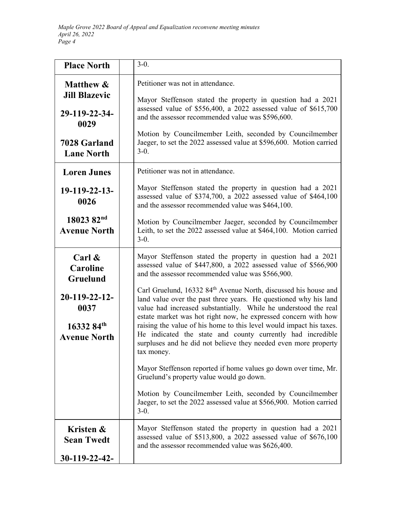| <b>Place North</b>                                                    | $3-0.$                                                                                                                                                                                                                                                                               |
|-----------------------------------------------------------------------|--------------------------------------------------------------------------------------------------------------------------------------------------------------------------------------------------------------------------------------------------------------------------------------|
| <b>Matthew &amp;</b><br><b>Jill Blazevic</b><br>29-119-22-34-<br>0029 | Petitioner was not in attendance.<br>Mayor Steffenson stated the property in question had a 2021<br>assessed value of \$556,400, a 2022 assessed value of \$615,700<br>and the assessor recommended value was \$596,600.                                                             |
| 7028 Garland<br><b>Lane North</b>                                     | Motion by Councilmember Leith, seconded by Councilmember<br>Jaeger, to set the 2022 assessed value at \$596,600. Motion carried<br>$3-0.$                                                                                                                                            |
| <b>Loren Junes</b>                                                    | Petitioner was not in attendance.                                                                                                                                                                                                                                                    |
| 19-119-22-13-<br>0026                                                 | Mayor Steffenson stated the property in question had a 2021<br>assessed value of \$374,700, a 2022 assessed value of \$464,100<br>and the assessor recommended value was \$464,100.                                                                                                  |
| 18023 82nd<br><b>Avenue North</b>                                     | Motion by Councilmember Jaeger, seconded by Councilmember<br>Leith, to set the 2022 assessed value at \$464,100. Motion carried<br>$3-0.$                                                                                                                                            |
| Carl $\&$<br>Caroline<br>Gruelund                                     | Mayor Steffenson stated the property in question had a 2021<br>assessed value of \$447,800, a 2022 assessed value of \$566,900<br>and the assessor recommended value was \$566,900.                                                                                                  |
| 20-119-22-12-<br>0037                                                 | Carl Gruelund, 16332 84 <sup>th</sup> Avenue North, discussed his house and<br>land value over the past three years. He questioned why his land<br>value had increased substantially. While he understood the real<br>estate market was hot right now, he expressed concern with how |
| 16332 84th<br><b>Avenue North</b>                                     | raising the value of his home to this level would impact his taxes.<br>He indicated the state and county currently had incredible<br>surpluses and he did not believe they needed even more property<br>tax money.                                                                   |
|                                                                       | Mayor Steffenson reported if home values go down over time, Mr.<br>Gruelund's property value would go down.                                                                                                                                                                          |
|                                                                       | Motion by Councilmember Leith, seconded by Councilmember<br>Jaeger, to set the 2022 assessed value at \$566,900. Motion carried<br>$3-0.$                                                                                                                                            |
| Kristen &<br><b>Sean Twedt</b>                                        | Mayor Steffenson stated the property in question had a 2021<br>assessed value of \$513,800, a 2022 assessed value of \$676,100<br>and the assessor recommended value was \$626,400.                                                                                                  |
| $30-119-22-42$                                                        |                                                                                                                                                                                                                                                                                      |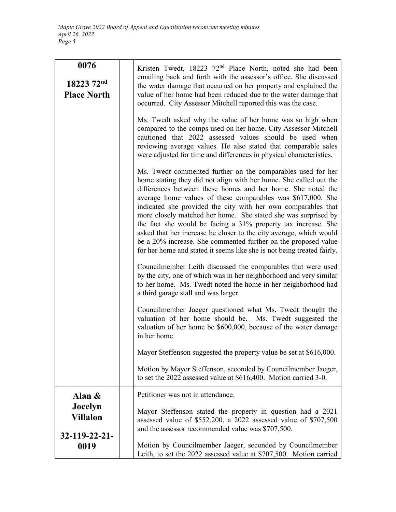| 0076<br>18223 72 <sup>nd</sup><br><b>Place North</b>     | Kristen Twedt, 18223 72 <sup>nd</sup> Place North, noted she had been<br>emailing back and forth with the assessor's office. She discussed<br>the water damage that occurred on her property and explained the<br>value of her home had been reduced due to the water damage that<br>occurred. City Assessor Mitchell reported this was the case.<br>Ms. Twedt asked why the value of her home was so high when<br>compared to the comps used on her home. City Assessor Mitchell<br>cautioned that 2022 assessed values should be used when<br>reviewing average values. He also stated that comparable sales<br>were adjusted for time and differences in physical characteristics.<br>Ms. Twedt commented further on the comparables used for her<br>home stating they did not align with her home. She called out the<br>differences between these homes and her home. She noted the<br>average home values of these comparables was \$617,000. She<br>indicated she provided the city with her own comparables that<br>more closely matched her home. She stated she was surprised by<br>the fact she would be facing a 31% property tax increase. She<br>asked that her increase be closer to the city average, which would<br>be a 20% increase. She commented further on the proposed value<br>for her home and stated it seems like she is not being treated fairly.<br>Councilmember Leith discussed the comparables that were used<br>by the city, one of which was in her neighborhood and very similar<br>to her home. Ms. Twedt noted the home in her neighborhood had<br>a third garage stall and was larger.<br>Councilmember Jaeger questioned what Ms. Twedt thought the<br>valuation of her home should be. Ms. Twedt suggested the<br>valuation of her home be \$600,000, because of the water damage<br>in her home.<br>Mayor Steffenson suggested the property value be set at \$616,000. |
|----------------------------------------------------------|-----------------------------------------------------------------------------------------------------------------------------------------------------------------------------------------------------------------------------------------------------------------------------------------------------------------------------------------------------------------------------------------------------------------------------------------------------------------------------------------------------------------------------------------------------------------------------------------------------------------------------------------------------------------------------------------------------------------------------------------------------------------------------------------------------------------------------------------------------------------------------------------------------------------------------------------------------------------------------------------------------------------------------------------------------------------------------------------------------------------------------------------------------------------------------------------------------------------------------------------------------------------------------------------------------------------------------------------------------------------------------------------------------------------------------------------------------------------------------------------------------------------------------------------------------------------------------------------------------------------------------------------------------------------------------------------------------------------------------------------------------------------------------------------------------------------------------------------------------------------------------------------------------------------|
|                                                          | Motion by Mayor Steffenson, seconded by Councilmember Jaeger,<br>to set the 2022 assessed value at \$616,400. Motion carried 3-0.                                                                                                                                                                                                                                                                                                                                                                                                                                                                                                                                                                                                                                                                                                                                                                                                                                                                                                                                                                                                                                                                                                                                                                                                                                                                                                                                                                                                                                                                                                                                                                                                                                                                                                                                                                               |
| Alan $\&$<br>Jocelyn<br><b>Villalon</b><br>32-119-22-21- | Petitioner was not in attendance.<br>Mayor Steffenson stated the property in question had a 2021<br>assessed value of \$552,200, a 2022 assessed value of \$707,500<br>and the assessor recommended value was \$707,500.                                                                                                                                                                                                                                                                                                                                                                                                                                                                                                                                                                                                                                                                                                                                                                                                                                                                                                                                                                                                                                                                                                                                                                                                                                                                                                                                                                                                                                                                                                                                                                                                                                                                                        |
| 0019                                                     | Motion by Councilmember Jaeger, seconded by Councilmember<br>Leith, to set the 2022 assessed value at \$707,500. Motion carried                                                                                                                                                                                                                                                                                                                                                                                                                                                                                                                                                                                                                                                                                                                                                                                                                                                                                                                                                                                                                                                                                                                                                                                                                                                                                                                                                                                                                                                                                                                                                                                                                                                                                                                                                                                 |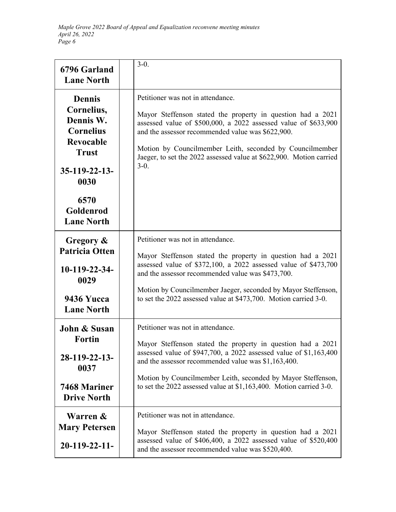| 6796 Garland<br><b>Lane North</b>                                                                                                                                     | $3-0.$                                                                                                                                                                                                                                                                                                                                                                |
|-----------------------------------------------------------------------------------------------------------------------------------------------------------------------|-----------------------------------------------------------------------------------------------------------------------------------------------------------------------------------------------------------------------------------------------------------------------------------------------------------------------------------------------------------------------|
| <b>Dennis</b><br>Cornelius,<br>Dennis W.<br><b>Cornelius</b><br><b>Revocable</b><br><b>Trust</b><br>$35-119-22-13-$<br>0030<br>6570<br>Goldenrod<br><b>Lane North</b> | Petitioner was not in attendance.<br>Mayor Steffenson stated the property in question had a 2021<br>assessed value of \$500,000, a 2022 assessed value of \$633,900<br>and the assessor recommended value was \$622,900.<br>Motion by Councilmember Leith, seconded by Councilmember<br>Jaeger, to set the 2022 assessed value at \$622,900. Motion carried<br>$3-0.$ |
| Gregory &<br><b>Patricia Otten</b><br>10-119-22-34-<br>0029<br><b>9436 Yucca</b><br><b>Lane North</b>                                                                 | Petitioner was not in attendance.<br>Mayor Steffenson stated the property in question had a 2021<br>assessed value of \$372,100, a 2022 assessed value of \$473,700<br>and the assessor recommended value was \$473,700.<br>Motion by Councilmember Jaeger, seconded by Mayor Steffenson,<br>to set the 2022 assessed value at \$473,700. Motion carried 3-0.         |
| <b>John &amp; Susan</b><br><b>Fortin</b><br>$28-119-22-13$<br>0037<br>7468 Mariner<br><b>Drive North</b>                                                              | Petitioner was not in attendance.<br>Mayor Steffenson stated the property in question had a 2021<br>assessed value of \$947,700, a 2022 assessed value of \$1,163,400<br>and the assessor recommended value was \$1,163,400.<br>Motion by Councilmember Leith, seconded by Mayor Steffenson,<br>to set the 2022 assessed value at \$1,163,400. Motion carried 3-0.    |
| Warren &<br><b>Mary Petersen</b><br>$20-119-22-11-$                                                                                                                   | Petitioner was not in attendance.<br>Mayor Steffenson stated the property in question had a 2021<br>assessed value of \$406,400, a 2022 assessed value of \$520,400<br>and the assessor recommended value was \$520,400.                                                                                                                                              |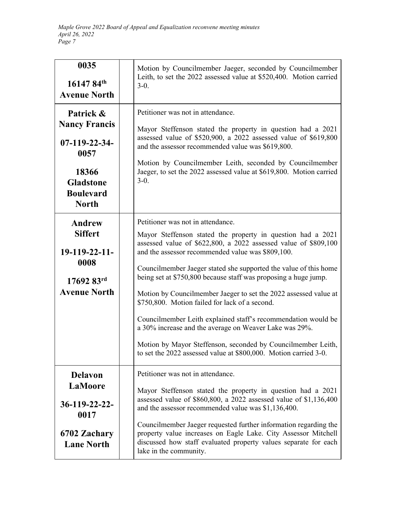| 0035<br>$16147.84^{\text{th}}$<br><b>Avenue North</b>                                                                       | Motion by Councilmember Jaeger, seconded by Councilmember<br>Leith, to set the 2022 assessed value at \$520,400. Motion carried<br>$3-0.$                                                                                                                                                                                                                                                                                                                                                                                                                                                                                                                                                                                                            |
|-----------------------------------------------------------------------------------------------------------------------------|------------------------------------------------------------------------------------------------------------------------------------------------------------------------------------------------------------------------------------------------------------------------------------------------------------------------------------------------------------------------------------------------------------------------------------------------------------------------------------------------------------------------------------------------------------------------------------------------------------------------------------------------------------------------------------------------------------------------------------------------------|
| Patrick &<br><b>Nancy Francis</b><br>07-119-22-34-<br>0057<br>18366<br><b>Gladstone</b><br><b>Boulevard</b><br><b>North</b> | Petitioner was not in attendance.<br>Mayor Steffenson stated the property in question had a 2021<br>assessed value of \$520,900, a 2022 assessed value of \$619,800<br>and the assessor recommended value was \$619,800.<br>Motion by Councilmember Leith, seconded by Councilmember<br>Jaeger, to set the 2022 assessed value at \$619,800. Motion carried<br>$3-0.$                                                                                                                                                                                                                                                                                                                                                                                |
| <b>Andrew</b><br><b>Siffert</b><br>19-119-22-11-<br>0008<br>$17692$ $83^{\text{rd}}$<br><b>Avenue North</b>                 | Petitioner was not in attendance.<br>Mayor Steffenson stated the property in question had a 2021<br>assessed value of \$622,800, a 2022 assessed value of \$809,100<br>and the assessor recommended value was \$809,100.<br>Councilmember Jaeger stated she supported the value of this home<br>being set at \$750,800 because staff was proposing a huge jump.<br>Motion by Councilmember Jaeger to set the 2022 assessed value at<br>\$750,800. Motion failed for lack of a second.<br>Councilmember Leith explained staff's recommendation would be<br>a 30% increase and the average on Weaver Lake was 29%.<br>Motion by Mayor Steffenson, seconded by Councilmember Leith,<br>to set the 2022 assessed value at \$800,000. Motion carried 3-0. |
| <b>Delavon</b><br><b>LaMoore</b><br>36-119-22-22-<br>0017<br>6702 Zachary<br><b>Lane North</b>                              | Petitioner was not in attendance.<br>Mayor Steffenson stated the property in question had a 2021<br>assessed value of \$860,800, a 2022 assessed value of \$1,136,400<br>and the assessor recommended value was \$1,136,400.<br>Councilmember Jaeger requested further information regarding the<br>property value increases on Eagle Lake. City Assessor Mitchell<br>discussed how staff evaluated property values separate for each<br>lake in the community.                                                                                                                                                                                                                                                                                      |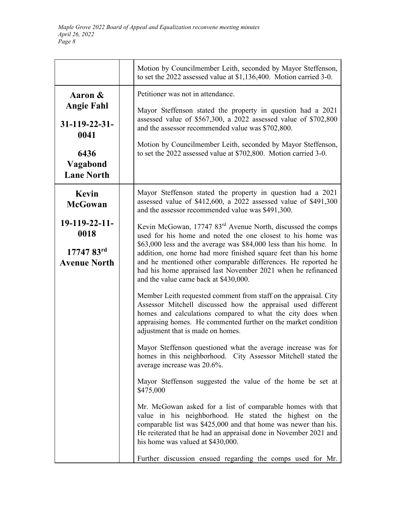|                                   |                                                                                                                                                                                                                                                                                                               | Motion by Councilmember Leith, seconded by Mayor Steffenson,<br>to set the $2022$ assessed value at \$1,136,400. Motion carried 3-0.                                                                                                                                                                  |
|-----------------------------------|---------------------------------------------------------------------------------------------------------------------------------------------------------------------------------------------------------------------------------------------------------------------------------------------------------------|-------------------------------------------------------------------------------------------------------------------------------------------------------------------------------------------------------------------------------------------------------------------------------------------------------|
| Aaron &                           |                                                                                                                                                                                                                                                                                                               | Petitioner was not in attendance.<br>Mayor Steffenson stated the property in question had a 2021<br>assessed value of \$567,300, a 2022 assessed value of \$702,800<br>and the assessor recommended value was \$702,800.                                                                              |
| <b>Angie Fahl</b>                 |                                                                                                                                                                                                                                                                                                               |                                                                                                                                                                                                                                                                                                       |
| $31 - 119 - 22 - 31$<br>0041      |                                                                                                                                                                                                                                                                                                               |                                                                                                                                                                                                                                                                                                       |
| 6436                              |                                                                                                                                                                                                                                                                                                               | Motion by Councilmember Leith, seconded by Mayor Steffenson,<br>to set the 2022 assessed value at \$702,800. Motion carried 3-0.                                                                                                                                                                      |
| Vagabond<br><b>Lane North</b>     |                                                                                                                                                                                                                                                                                                               |                                                                                                                                                                                                                                                                                                       |
| Kevin<br><b>McGowan</b>           |                                                                                                                                                                                                                                                                                                               | Mayor Steffenson stated the property in question had a 2021<br>assessed value of \$412,600, a 2022 assessed value of \$491,300<br>and the assessor recommended value was \$491,300.                                                                                                                   |
| 19-119-22-11-<br>0018             |                                                                                                                                                                                                                                                                                                               | Kevin McGowan, 17747 83 <sup>rd</sup> Avenue North, discussed the comps<br>used for his home and noted the one closest to his home was                                                                                                                                                                |
| 17747 83rd<br><b>Avenue North</b> | \$63,000 less and the average was \$84,000 less than his home. In<br>addition, one home had more finished square feet than his home<br>and he mentioned other comparable differences. He reported he<br>had his home appraised last November 2021 when he refinanced<br>and the value came back at \$430,000. |                                                                                                                                                                                                                                                                                                       |
|                                   |                                                                                                                                                                                                                                                                                                               | Member Leith requested comment from staff on the appraisal. City<br>Assessor Mitchell discussed how the appraisal used different<br>homes and calculations compared to what the city does when<br>appraising homes. He commented further on the market condition<br>adjustment that is made on homes. |
|                                   |                                                                                                                                                                                                                                                                                                               | Mayor Steffenson questioned what the average increase was for<br>homes in this neighborhood. City Assessor Mitchell stated the<br>average increase was 20.6%.                                                                                                                                         |
|                                   |                                                                                                                                                                                                                                                                                                               | Mayor Steffenson suggested the value of the home be set at<br>\$475,000                                                                                                                                                                                                                               |
|                                   |                                                                                                                                                                                                                                                                                                               | Mr. McGowan asked for a list of comparable homes with that<br>value in his neighborhood. He stated the highest on the<br>comparable list was \$425,000 and that home was newer than his.<br>He reiterated that he had an appraisal done in November 2021 and<br>his home was valued at \$430,000.     |
|                                   |                                                                                                                                                                                                                                                                                                               | Further discussion ensued regarding the comps used for Mr.                                                                                                                                                                                                                                            |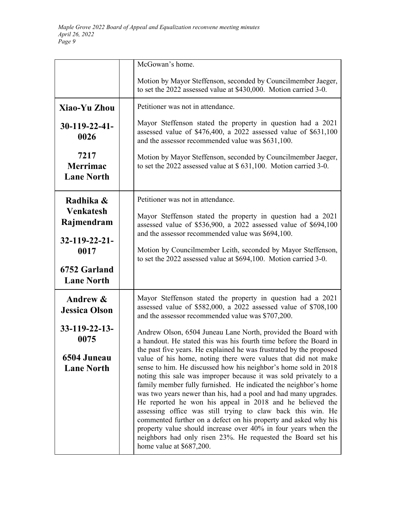|                                              | McGowan's home.                                                                                                                                                                                                                                                                                                                                                                                                                                                                                                                                                                                                                                                                                         |
|----------------------------------------------|---------------------------------------------------------------------------------------------------------------------------------------------------------------------------------------------------------------------------------------------------------------------------------------------------------------------------------------------------------------------------------------------------------------------------------------------------------------------------------------------------------------------------------------------------------------------------------------------------------------------------------------------------------------------------------------------------------|
|                                              | Motion by Mayor Steffenson, seconded by Councilmember Jaeger,<br>to set the 2022 assessed value at \$430,000. Motion carried 3-0.                                                                                                                                                                                                                                                                                                                                                                                                                                                                                                                                                                       |
| Xiao-Yu Zhou                                 | Petitioner was not in attendance.                                                                                                                                                                                                                                                                                                                                                                                                                                                                                                                                                                                                                                                                       |
| $30-119-22-41-$<br>0026                      | Mayor Steffenson stated the property in question had a 2021<br>assessed value of \$476,400, a 2022 assessed value of \$631,100<br>and the assessor recommended value was \$631,100.                                                                                                                                                                                                                                                                                                                                                                                                                                                                                                                     |
| 7217<br><b>Merrimac</b><br><b>Lane North</b> | Motion by Mayor Steffenson, seconded by Councilmember Jaeger,<br>to set the 2022 assessed value at \$ 631,100. Motion carried 3-0.                                                                                                                                                                                                                                                                                                                                                                                                                                                                                                                                                                      |
| Radhika &                                    | Petitioner was not in attendance.                                                                                                                                                                                                                                                                                                                                                                                                                                                                                                                                                                                                                                                                       |
| <b>Venkatesh</b><br>Rajmendram               | Mayor Steffenson stated the property in question had a 2021<br>assessed value of \$536,900, a 2022 assessed value of \$694,100<br>and the assessor recommended value was \$694,100.                                                                                                                                                                                                                                                                                                                                                                                                                                                                                                                     |
| 32-119-22-21-<br>0017                        | Motion by Councilmember Leith, seconded by Mayor Steffenson,<br>to set the 2022 assessed value at \$694,100. Motion carried 3-0.                                                                                                                                                                                                                                                                                                                                                                                                                                                                                                                                                                        |
| 6752 Garland<br><b>Lane North</b>            |                                                                                                                                                                                                                                                                                                                                                                                                                                                                                                                                                                                                                                                                                                         |
| Andrew &<br><b>Jessica Olson</b>             | Mayor Steffenson stated the property in question had a 2021<br>assessed value of \$582,000, a 2022 assessed value of \$708,100<br>and the assessor recommended value was \$707,200.                                                                                                                                                                                                                                                                                                                                                                                                                                                                                                                     |
| 33-119-22-13-<br>0075                        | Andrew Olson, 6504 Juneau Lane North, provided the Board with<br>a handout. He stated this was his fourth time before the Board in<br>the past five years. He explained he was frustrated by the proposed                                                                                                                                                                                                                                                                                                                                                                                                                                                                                               |
| 6504 Juneau<br><b>Lane North</b>             | value of his home, noting there were values that did not make<br>sense to him. He discussed how his neighbor's home sold in 2018<br>noting this sale was improper because it was sold privately to a<br>family member fully furnished. He indicated the neighbor's home<br>was two years newer than his, had a pool and had many upgrades.<br>He reported he won his appeal in 2018 and he believed the<br>assessing office was still trying to claw back this win. He<br>commented further on a defect on his property and asked why his<br>property value should increase over 40% in four years when the<br>neighbors had only risen 23%. He requested the Board set his<br>home value at \$687,200. |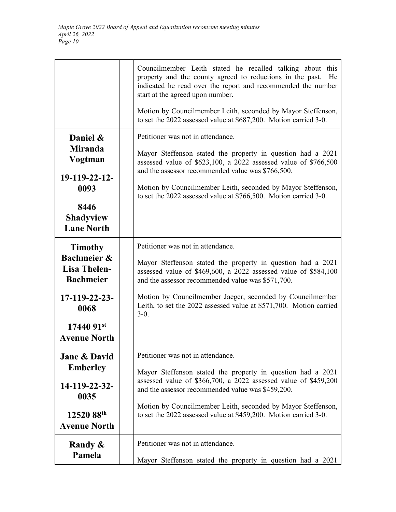|                                                                   | Councilmember Leith stated he recalled talking about this<br>property and the county agreed to reductions in the past.<br>He<br>indicated he read over the report and recommended the number<br>start at the agreed upon number. |
|-------------------------------------------------------------------|----------------------------------------------------------------------------------------------------------------------------------------------------------------------------------------------------------------------------------|
|                                                                   | Motion by Councilmember Leith, seconded by Mayor Steffenson,<br>to set the 2022 assessed value at \$687,200. Motion carried 3-0.                                                                                                 |
| Daniel &                                                          | Petitioner was not in attendance.                                                                                                                                                                                                |
| <b>Miranda</b><br>Vogtman                                         | Mayor Steffenson stated the property in question had a 2021<br>assessed value of \$623,100, a 2022 assessed value of \$766,500<br>and the assessor recommended value was \$766,500.                                              |
| 19-119-22-12-<br>0093                                             | Motion by Councilmember Leith, seconded by Mayor Steffenson,<br>to set the 2022 assessed value at \$766,500. Motion carried 3-0.                                                                                                 |
| 8446<br><b>Shadyview</b><br><b>Lane North</b>                     |                                                                                                                                                                                                                                  |
| <b>Timothy</b>                                                    | Petitioner was not in attendance.                                                                                                                                                                                                |
| <b>Bachmeier &amp;</b><br><b>Lisa Thelen-</b><br><b>Bachmeier</b> | Mayor Steffenson stated the property in question had a 2021<br>assessed value of \$469,600, a 2022 assessed value of \$584,100<br>and the assessor recommended value was \$571,700.                                              |
| $17-119-22-23-$<br>0068                                           | Motion by Councilmember Jaeger, seconded by Councilmember<br>Leith, to set the 2022 assessed value at \$571,700. Motion carried<br>$3-0.$                                                                                        |
| $1744091$ <sup>st</sup><br><b>Avenue North</b>                    |                                                                                                                                                                                                                                  |
| <b>Jane &amp; David</b>                                           | Petitioner was not in attendance.                                                                                                                                                                                                |
| <b>Emberley</b>                                                   | Mayor Steffenson stated the property in question had a 2021<br>assessed value of \$366,700, a 2022 assessed value of \$459,200                                                                                                   |
| 14-119-22-32-<br>0035                                             | and the assessor recommended value was \$459,200.                                                                                                                                                                                |
| 12520 88th<br><b>Avenue North</b>                                 | Motion by Councilmember Leith, seconded by Mayor Steffenson,<br>to set the 2022 assessed value at \$459,200. Motion carried 3-0.                                                                                                 |
| Randy &                                                           | Petitioner was not in attendance.                                                                                                                                                                                                |
| Pamela                                                            | Mayor Steffenson stated the property in question had a 2021                                                                                                                                                                      |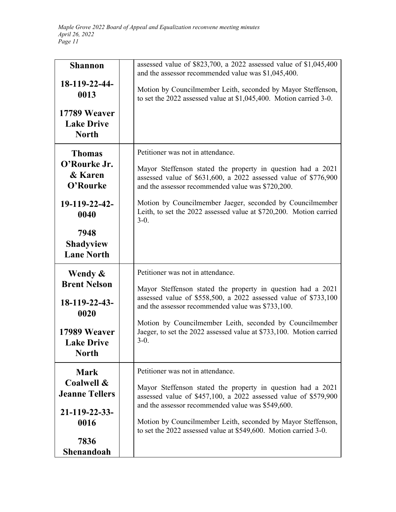| <b>Shannon</b><br>18-119-22-44-               | assessed value of \$823,700, a 2022 assessed value of \$1,045,400<br>and the assessor recommended value was \$1,045,400.                                                            |
|-----------------------------------------------|-------------------------------------------------------------------------------------------------------------------------------------------------------------------------------------|
| 0013<br>17789 Weaver                          | Motion by Councilmember Leith, seconded by Mayor Steffenson,<br>to set the 2022 assessed value at \$1,045,400. Motion carried 3-0.                                                  |
| <b>Lake Drive</b><br><b>North</b>             |                                                                                                                                                                                     |
| <b>Thomas</b><br>O'Rourke Jr.                 | Petitioner was not in attendance.                                                                                                                                                   |
| & Karen<br>O'Rourke                           | Mayor Steffenson stated the property in question had a 2021<br>assessed value of \$631,600, a 2022 assessed value of \$776,900<br>and the assessor recommended value was \$720,200. |
| 19-119-22-42-<br>0040                         | Motion by Councilmember Jaeger, seconded by Councilmember<br>Leith, to set the 2022 assessed value at \$720,200. Motion carried<br>$3-0.$                                           |
| 7948<br><b>Shadyview</b><br><b>Lane North</b> |                                                                                                                                                                                     |
| Wendy &<br><b>Brent Nelson</b>                | Petitioner was not in attendance.                                                                                                                                                   |
| $18-119-22-43-$<br>0020                       | Mayor Steffenson stated the property in question had a 2021<br>assessed value of \$558,500, a 2022 assessed value of \$733,100<br>and the assessor recommended value was \$733,100. |
| 17989 Weaver<br><b>Lake Drive</b><br>North    | Motion by Councilmember Leith, seconded by Councilmember<br>Jaeger, to set the 2022 assessed value at \$733,100. Motion carried<br>$3-0.$                                           |
| <b>Mark</b>                                   | Petitioner was not in attendance.                                                                                                                                                   |
| Coalwell &<br><b>Jeanne Tellers</b>           | Mayor Steffenson stated the property in question had a 2021<br>assessed value of \$457,100, a 2022 assessed value of \$579,900<br>and the assessor recommended value was \$549,600. |
| 21-119-22-33-<br>0016                         | Motion by Councilmember Leith, seconded by Mayor Steffenson,<br>to set the 2022 assessed value at \$549,600. Motion carried 3-0.                                                    |
| 7836<br>Shenandoah                            |                                                                                                                                                                                     |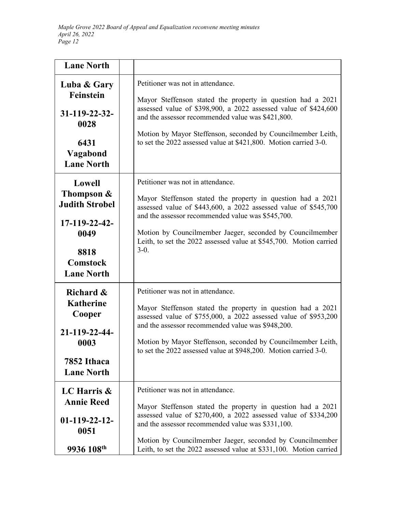| <b>Lane North</b>                                                                                                         |                                                                                                                                                                                                                                                                                                                                                                       |
|---------------------------------------------------------------------------------------------------------------------------|-----------------------------------------------------------------------------------------------------------------------------------------------------------------------------------------------------------------------------------------------------------------------------------------------------------------------------------------------------------------------|
| Luba & Gary<br>Feinstein<br>$31 - 119 - 22 - 32$<br>0028<br>6431<br>Vagabond<br><b>Lane North</b>                         | Petitioner was not in attendance.<br>Mayor Steffenson stated the property in question had a 2021<br>assessed value of \$398,900, a 2022 assessed value of \$424,600<br>and the assessor recommended value was \$421,800.<br>Motion by Mayor Steffenson, seconded by Councilmember Leith,<br>to set the 2022 assessed value at \$421,800. Motion carried 3-0.          |
| Lowell<br>Thompson $\&$<br><b>Judith Strobel</b><br>17-119-22-42-<br>0049<br>8818<br><b>Comstock</b><br><b>Lane North</b> | Petitioner was not in attendance.<br>Mayor Steffenson stated the property in question had a 2021<br>assessed value of \$443,600, a 2022 assessed value of \$545,700<br>and the assessor recommended value was \$545,700.<br>Motion by Councilmember Jaeger, seconded by Councilmember<br>Leith, to set the 2022 assessed value at \$545,700. Motion carried<br>$3-0.$ |
| Richard &<br><b>Katherine</b><br>Cooper<br>21-119-22-44-<br>0003<br>7852 Ithaca<br><b>Lane North</b>                      | Petitioner was not in attendance.<br>Mayor Steffenson stated the property in question had a 2021<br>assessed value of \$755,000, a 2022 assessed value of \$953,200<br>and the assessor recommended value was \$948,200.<br>Motion by Mayor Steffenson, seconded by Councilmember Leith,<br>to set the 2022 assessed value at \$948,200. Motion carried 3-0.          |
| LC Harris $\&$<br><b>Annie Reed</b><br>$01-119-22-12-$<br>0051<br>9936 108 <sup>th</sup>                                  | Petitioner was not in attendance.<br>Mayor Steffenson stated the property in question had a 2021<br>assessed value of \$270,400, a 2022 assessed value of \$334,200<br>and the assessor recommended value was \$331,100.<br>Motion by Councilmember Jaeger, seconded by Councilmember<br>Leith, to set the 2022 assessed value at \$331,100. Motion carried           |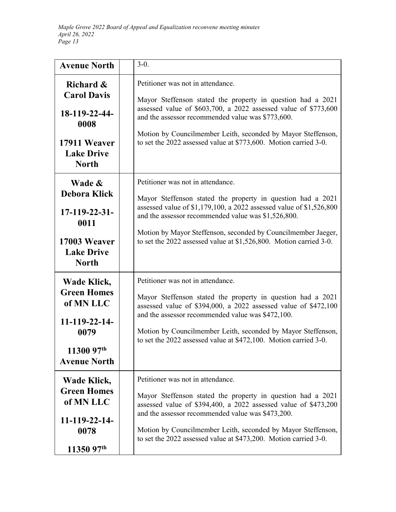| <b>Avenue North</b>                                                                                           | $3-0.$                                                                                                                                                                                                                                                                                                                                                                |
|---------------------------------------------------------------------------------------------------------------|-----------------------------------------------------------------------------------------------------------------------------------------------------------------------------------------------------------------------------------------------------------------------------------------------------------------------------------------------------------------------|
| Richard &<br><b>Carol Davis</b><br>18-119-22-44-<br>0008<br>17911 Weaver<br><b>Lake Drive</b><br><b>North</b> | Petitioner was not in attendance.<br>Mayor Steffenson stated the property in question had a 2021<br>assessed value of \$603,700, a 2022 assessed value of \$773,600<br>and the assessor recommended value was \$773,600.<br>Motion by Councilmember Leith, seconded by Mayor Steffenson,<br>to set the 2022 assessed value at \$773,600. Motion carried 3-0.          |
| Wade &<br><b>Debora Klick</b><br>$17-119-22-31-$<br>0011<br>17003 Weaver<br><b>Lake Drive</b><br><b>North</b> | Petitioner was not in attendance.<br>Mayor Steffenson stated the property in question had a 2021<br>assessed value of \$1,179,100, a 2022 assessed value of \$1,526,800<br>and the assessor recommended value was \$1,526,800.<br>Motion by Mayor Steffenson, seconded by Councilmember Jaeger,<br>to set the 2022 assessed value at \$1,526,800. Motion carried 3-0. |
| Wade Klick,<br><b>Green Homes</b><br>of MN LLC<br>11-119-22-14-<br>0079<br>11300 97th<br><b>Avenue North</b>  | Petitioner was not in attendance.<br>Mayor Steffenson stated the property in question had a 2021<br>assessed value of \$394,000, a 2022 assessed value of \$472,100<br>and the assessor recommended value was \$472,100.<br>Motion by Councilmember Leith, seconded by Mayor Steffenson,<br>to set the 2022 assessed value at \$472,100. Motion carried 3-0.          |
| Wade Klick,<br><b>Green Homes</b><br>of MN LLC<br>11-119-22-14-<br>0078<br>11350 97th                         | Petitioner was not in attendance.<br>Mayor Steffenson stated the property in question had a 2021<br>assessed value of \$394,400, a 2022 assessed value of \$473,200<br>and the assessor recommended value was \$473,200.<br>Motion by Councilmember Leith, seconded by Mayor Steffenson,<br>to set the 2022 assessed value at \$473,200. Motion carried 3-0.          |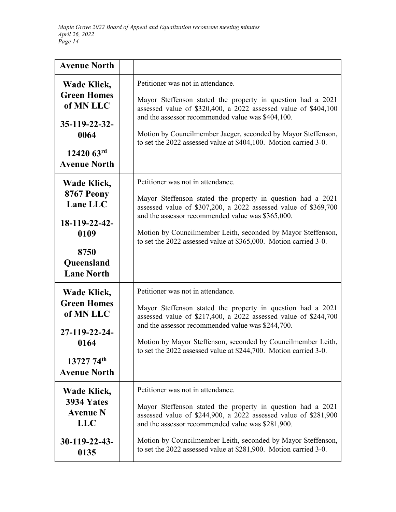| <b>Avenue North</b>                                                                                                       |                                                                                                                                                                                                                                                                                                                                                               |
|---------------------------------------------------------------------------------------------------------------------------|---------------------------------------------------------------------------------------------------------------------------------------------------------------------------------------------------------------------------------------------------------------------------------------------------------------------------------------------------------------|
| Wade Klick,<br><b>Green Homes</b><br>of MN LLC<br>35-119-22-32-<br>0064<br>$1242063$ <sup>rd</sup><br><b>Avenue North</b> | Petitioner was not in attendance.<br>Mayor Steffenson stated the property in question had a 2021<br>assessed value of \$320,400, a 2022 assessed value of \$404,100<br>and the assessor recommended value was \$404,100.<br>Motion by Councilmember Jaeger, seconded by Mayor Steffenson,<br>to set the 2022 assessed value at \$404,100. Motion carried 3-0. |
| Wade Klick,<br>8767 Peony<br>Lane LLC<br>18-119-22-42-<br>0109<br>8750<br>Queensland<br><b>Lane North</b>                 | Petitioner was not in attendance.<br>Mayor Steffenson stated the property in question had a 2021<br>assessed value of \$307,200, a 2022 assessed value of \$369,700<br>and the assessor recommended value was \$365,000.<br>Motion by Councilmember Leith, seconded by Mayor Steffenson,<br>to set the 2022 assessed value at \$365,000. Motion carried 3-0.  |
| Wade Klick,<br><b>Green Homes</b><br>of MN LLC<br>27-119-22-24-<br>0164<br>13727 74th<br><b>Avenue North</b>              | Petitioner was not in attendance.<br>Mayor Steffenson stated the property in question had a 2021<br>assessed value of \$217,400, a 2022 assessed value of \$244,700<br>and the assessor recommended value was \$244,700.<br>Motion by Mayor Steffenson, seconded by Councilmember Leith,<br>to set the 2022 assessed value at \$244,700. Motion carried 3-0.  |
| Wade Klick,<br>3934 Yates<br><b>Avenue N</b><br><b>LLC</b><br>$30-119-22-43$<br>0135                                      | Petitioner was not in attendance.<br>Mayor Steffenson stated the property in question had a 2021<br>assessed value of \$244,900, a 2022 assessed value of \$281,900<br>and the assessor recommended value was \$281,900.<br>Motion by Councilmember Leith, seconded by Mayor Steffenson,<br>to set the 2022 assessed value at \$281,900. Motion carried 3-0.  |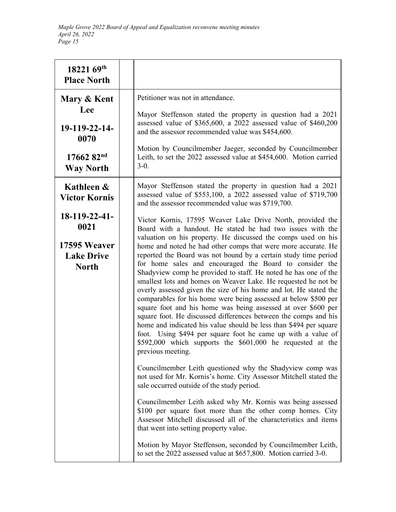| 18221 69th<br><b>Place North</b>                                           |                                                                                                                                                                                                                                                                                                                                                                                                                                                                                                                                                                                                                                                                                                                                                                                                                                                                                                                                                                                                                                   |
|----------------------------------------------------------------------------|-----------------------------------------------------------------------------------------------------------------------------------------------------------------------------------------------------------------------------------------------------------------------------------------------------------------------------------------------------------------------------------------------------------------------------------------------------------------------------------------------------------------------------------------------------------------------------------------------------------------------------------------------------------------------------------------------------------------------------------------------------------------------------------------------------------------------------------------------------------------------------------------------------------------------------------------------------------------------------------------------------------------------------------|
| Mary & Kent<br>Lee<br>19-119-22-14-<br>0070                                | Petitioner was not in attendance.<br>Mayor Steffenson stated the property in question had a 2021<br>assessed value of \$365,600, a 2022 assessed value of \$460,200<br>and the assessor recommended value was \$454,600.<br>Motion by Councilmember Jaeger, seconded by Councilmember                                                                                                                                                                                                                                                                                                                                                                                                                                                                                                                                                                                                                                                                                                                                             |
| $1766282^{nd}$<br><b>Way North</b>                                         | Leith, to set the 2022 assessed value at \$454,600. Motion carried<br>$3-0.$                                                                                                                                                                                                                                                                                                                                                                                                                                                                                                                                                                                                                                                                                                                                                                                                                                                                                                                                                      |
| Kathleen &<br><b>Victor Kornis</b>                                         | Mayor Steffenson stated the property in question had a 2021<br>assessed value of \$553,100, a 2022 assessed value of \$719,700<br>and the assessor recommended value was \$719,700.                                                                                                                                                                                                                                                                                                                                                                                                                                                                                                                                                                                                                                                                                                                                                                                                                                               |
| 18-119-22-41-<br>0021<br>17595 Weaver<br><b>Lake Drive</b><br><b>North</b> | Victor Kornis, 17595 Weaver Lake Drive North, provided the<br>Board with a handout. He stated he had two issues with the<br>valuation on his property. He discussed the comps used on his<br>home and noted he had other comps that were more accurate. He<br>reported the Board was not bound by a certain study time period<br>for home sales and encouraged the Board to consider the<br>Shadyview comp he provided to staff. He noted he has one of the<br>smallest lots and homes on Weaver Lake. He requested he not be<br>overly assessed given the size of his home and lot. He stated the<br>comparables for his home were being assessed at below \$500 per<br>square foot and his home was being assessed at over \$600 per<br>square foot. He discussed differences between the comps and his<br>home and indicated his value should be less than \$494 per square<br>foot. Using \$494 per square foot he came up with a value of<br>\$592,000 which supports the \$601,000 he requested at the<br>previous meeting. |
|                                                                            | Councilmember Leith questioned why the Shadyview comp was<br>not used for Mr. Kornis's home. City Assessor Mitchell stated the<br>sale occurred outside of the study period.<br>Councilmember Leith asked why Mr. Kornis was being assessed<br>\$100 per square foot more than the other comp homes. City<br>Assessor Mitchell discussed all of the characteristics and items<br>that went into setting property value.                                                                                                                                                                                                                                                                                                                                                                                                                                                                                                                                                                                                           |
|                                                                            | Motion by Mayor Steffenson, seconded by Councilmember Leith,<br>to set the 2022 assessed value at \$657,800. Motion carried 3-0.                                                                                                                                                                                                                                                                                                                                                                                                                                                                                                                                                                                                                                                                                                                                                                                                                                                                                                  |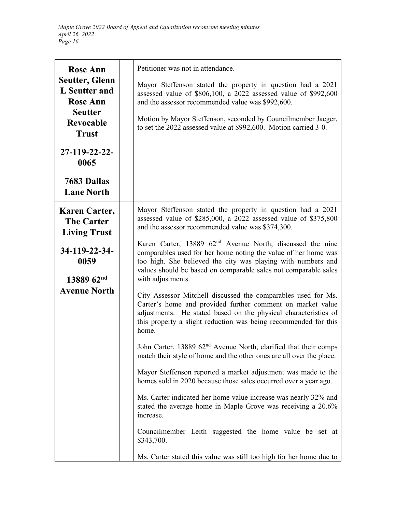| <b>Rose Ann</b>                                                  | Petitioner was not in attendance.                                                                                                                                                                                                                                                               |
|------------------------------------------------------------------|-------------------------------------------------------------------------------------------------------------------------------------------------------------------------------------------------------------------------------------------------------------------------------------------------|
| <b>Seutter, Glenn</b><br>L Seutter and<br><b>Rose Ann</b>        | Mayor Steffenson stated the property in question had a 2021<br>assessed value of \$806,100, a 2022 assessed value of \$992,600<br>and the assessor recommended value was \$992,600.                                                                                                             |
| <b>Seutter</b><br><b>Revocable</b><br><b>Trust</b>               | Motion by Mayor Steffenson, seconded by Councilmember Jaeger,<br>to set the 2022 assessed value at \$992,600. Motion carried 3-0.                                                                                                                                                               |
| 27-119-22-22-<br>0065                                            |                                                                                                                                                                                                                                                                                                 |
| 7683 Dallas<br><b>Lane North</b>                                 |                                                                                                                                                                                                                                                                                                 |
| <b>Karen Carter,</b><br><b>The Carter</b><br><b>Living Trust</b> | Mayor Steffenson stated the property in question had a 2021<br>assessed value of \$285,000, a 2022 assessed value of \$375,800<br>and the assessor recommended value was \$374,300.                                                                                                             |
| 34-119-22-34-<br>0059<br>13889 62nd                              | Karen Carter, 13889 62 <sup>nd</sup> Avenue North, discussed the nine<br>comparables used for her home noting the value of her home was<br>too high. She believed the city was playing with numbers and<br>values should be based on comparable sales not comparable sales<br>with adjustments. |
| <b>Avenue North</b>                                              | City Assessor Mitchell discussed the comparables used for Ms.<br>Carter's home and provided further comment on market value<br>adjustments. He stated based on the physical characteristics of<br>this property a slight reduction was being recommended for this<br>home.                      |
|                                                                  | John Carter, 13889 62 <sup>nd</sup> Avenue North, clarified that their comps<br>match their style of home and the other ones are all over the place.                                                                                                                                            |
|                                                                  | Mayor Steffenson reported a market adjustment was made to the<br>homes sold in 2020 because those sales occurred over a year ago.                                                                                                                                                               |
|                                                                  | Ms. Carter indicated her home value increase was nearly 32% and<br>stated the average home in Maple Grove was receiving a 20.6%<br>increase.                                                                                                                                                    |
|                                                                  | Councilmember Leith suggested the home value be set at<br>\$343,700.                                                                                                                                                                                                                            |
|                                                                  | Ms. Carter stated this value was still too high for her home due to                                                                                                                                                                                                                             |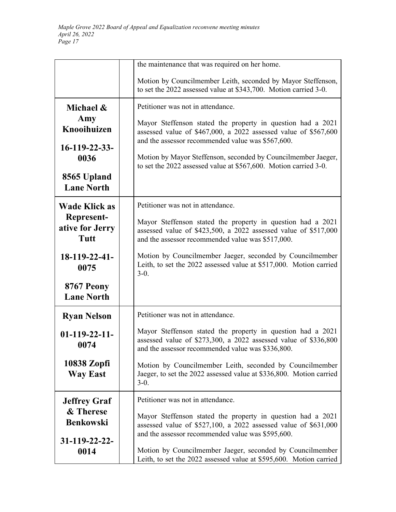|                                       | the maintenance that was required on her home.                                                                                                                                      |
|---------------------------------------|-------------------------------------------------------------------------------------------------------------------------------------------------------------------------------------|
|                                       | Motion by Councilmember Leith, seconded by Mayor Steffenson,<br>to set the 2022 assessed value at \$343,700. Motion carried 3-0.                                                    |
| Michael &                             | Petitioner was not in attendance.                                                                                                                                                   |
| Amy<br>Knooihuizen                    | Mayor Steffenson stated the property in question had a 2021<br>assessed value of \$467,000, a 2022 assessed value of \$567,600<br>and the assessor recommended value was \$567,600. |
| $16 - 119 - 22 - 33 -$<br>0036        | Motion by Mayor Steffenson, seconded by Councilmember Jaeger,<br>to set the 2022 assessed value at \$567,600. Motion carried 3-0.                                                   |
| 8565 Upland<br><b>Lane North</b>      |                                                                                                                                                                                     |
| <b>Wade Klick as</b>                  | Petitioner was not in attendance.                                                                                                                                                   |
| Represent-<br>ative for Jerry<br>Tutt | Mayor Steffenson stated the property in question had a 2021<br>assessed value of \$423,500, a 2022 assessed value of \$517,000<br>and the assessor recommended value was \$517,000. |
| $18-119-22-41-$<br>0075               | Motion by Councilmember Jaeger, seconded by Councilmember<br>Leith, to set the 2022 assessed value at \$517,000. Motion carried<br>$3-0.$                                           |
| 8767 Peony<br><b>Lane North</b>       |                                                                                                                                                                                     |
| <b>Ryan Nelson</b>                    | Petitioner was not in attendance.                                                                                                                                                   |
| $01-119-22-11-$<br>0074               | Mayor Steffenson stated the property in question had a 2021<br>assessed value of \$273,300, a 2022 assessed value of \$336,800<br>and the assessor recommended value was \$336,800. |
| 10838 Zopfi<br><b>Way East</b>        | Motion by Councilmember Leith, seconded by Councilmember<br>Jaeger, to set the 2022 assessed value at \$336,800. Motion carried<br>$3-0.$                                           |
| <b>Jeffrey Graf</b>                   | Petitioner was not in attendance.                                                                                                                                                   |
| & Therese<br><b>Benkowski</b>         | Mayor Steffenson stated the property in question had a 2021<br>assessed value of \$527,100, a 2022 assessed value of \$631,000<br>and the assessor recommended value was \$595,600. |
| 31-119-22-22-<br>0014                 | Motion by Councilmember Jaeger, seconded by Councilmember<br>Leith, to set the 2022 assessed value at \$595,600. Motion carried                                                     |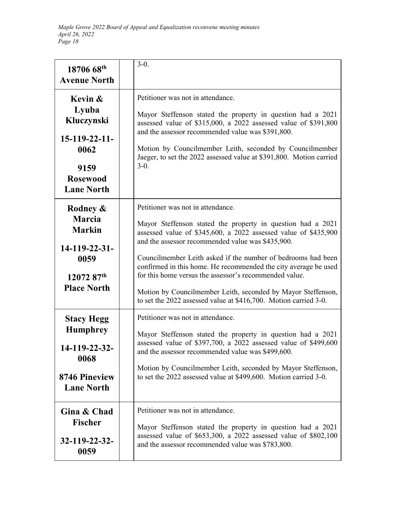| 18706 68th<br><b>Avenue North</b>                                                                         | $3-0.$                                                                                                                                                                                                                                                                                                                                                                                                                                                                                                                                                    |
|-----------------------------------------------------------------------------------------------------------|-----------------------------------------------------------------------------------------------------------------------------------------------------------------------------------------------------------------------------------------------------------------------------------------------------------------------------------------------------------------------------------------------------------------------------------------------------------------------------------------------------------------------------------------------------------|
| Kevin &<br>Lyuba<br>Kluczynski<br>$15-119-22-11-$<br>0062<br>9159<br><b>Rosewood</b><br><b>Lane North</b> | Petitioner was not in attendance.<br>Mayor Steffenson stated the property in question had a 2021<br>assessed value of \$315,000, a 2022 assessed value of \$391,800<br>and the assessor recommended value was \$391,800.<br>Motion by Councilmember Leith, seconded by Councilmember<br>Jaeger, to set the 2022 assessed value at \$391,800. Motion carried<br>$3-0.$                                                                                                                                                                                     |
| Rodney &<br><b>Marcia</b><br><b>Markin</b><br>14-119-22-31-<br>0059<br>12072 87th<br><b>Place North</b>   | Petitioner was not in attendance.<br>Mayor Steffenson stated the property in question had a 2021<br>assessed value of \$345,600, a 2022 assessed value of \$435,900<br>and the assessor recommended value was \$435,900.<br>Councilmember Leith asked if the number of bedrooms had been<br>confirmed in this home. He recommended the city average be used<br>for this home versus the assessor's recommended value.<br>Motion by Councilmember Leith, seconded by Mayor Steffenson,<br>to set the 2022 assessed value at \$416,700. Motion carried 3-0. |
| <b>Stacy Hegg</b><br><b>Humphrey</b><br>14-119-22-32-<br>0068<br>8746 Pineview<br><b>Lane North</b>       | Petitioner was not in attendance.<br>Mayor Steffenson stated the property in question had a 2021<br>assessed value of \$397,700, a 2022 assessed value of \$499,600<br>and the assessor recommended value was \$499,600.<br>Motion by Councilmember Leith, seconded by Mayor Steffenson,<br>to set the 2022 assessed value at \$499,600. Motion carried 3-0.                                                                                                                                                                                              |
| Gina & Chad<br><b>Fischer</b><br>32-119-22-32-<br>0059                                                    | Petitioner was not in attendance.<br>Mayor Steffenson stated the property in question had a 2021<br>assessed value of \$653,300, a 2022 assessed value of \$802,100<br>and the assessor recommended value was \$783,800.                                                                                                                                                                                                                                                                                                                                  |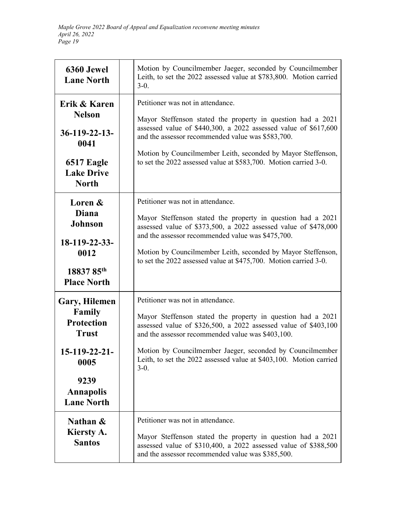| 6360 Jewel<br><b>Lane North</b>                                                                                                        | Motion by Councilmember Jaeger, seconded by Councilmember<br>Leith, to set the 2022 assessed value at \$783,800. Motion carried<br>$3-0.$                                                                                                                                                                                                                             |
|----------------------------------------------------------------------------------------------------------------------------------------|-----------------------------------------------------------------------------------------------------------------------------------------------------------------------------------------------------------------------------------------------------------------------------------------------------------------------------------------------------------------------|
| Erik & Karen<br><b>Nelson</b><br>$36 - 119 - 22 - 13$<br>0041<br>6517 Eagle<br><b>Lake Drive</b><br><b>North</b>                       | Petitioner was not in attendance.<br>Mayor Steffenson stated the property in question had a 2021<br>assessed value of \$440,300, a 2022 assessed value of \$617,600<br>and the assessor recommended value was \$583,700.<br>Motion by Councilmember Leith, seconded by Mayor Steffenson,<br>to set the 2022 assessed value at \$583,700. Motion carried 3-0.          |
| Loren &<br><b>Diana</b><br>Johnson<br>18-119-22-33-<br>0012<br>18837 85 <sup>th</sup><br><b>Place North</b>                            | Petitioner was not in attendance.<br>Mayor Steffenson stated the property in question had a 2021<br>assessed value of \$373,500, a 2022 assessed value of \$478,000<br>and the assessor recommended value was \$475,700.<br>Motion by Councilmember Leith, seconded by Mayor Steffenson,<br>to set the 2022 assessed value at \$475,700. Motion carried 3-0.          |
| Gary, Hilemen<br>Family<br><b>Protection</b><br><b>Trust</b><br>15-119-22-21-<br>0005<br>9239<br><b>Annapolis</b><br><b>Lane North</b> | Petitioner was not in attendance.<br>Mayor Steffenson stated the property in question had a 2021<br>assessed value of \$326,500, a 2022 assessed value of \$403,100<br>and the assessor recommended value was \$403,100.<br>Motion by Councilmember Jaeger, seconded by Councilmember<br>Leith, to set the 2022 assessed value at \$403,100. Motion carried<br>$3-0.$ |
| Nathan $\&$<br>Kiersty A.<br><b>Santos</b>                                                                                             | Petitioner was not in attendance.<br>Mayor Steffenson stated the property in question had a 2021<br>assessed value of \$310,400, a 2022 assessed value of \$388,500<br>and the assessor recommended value was \$385,500.                                                                                                                                              |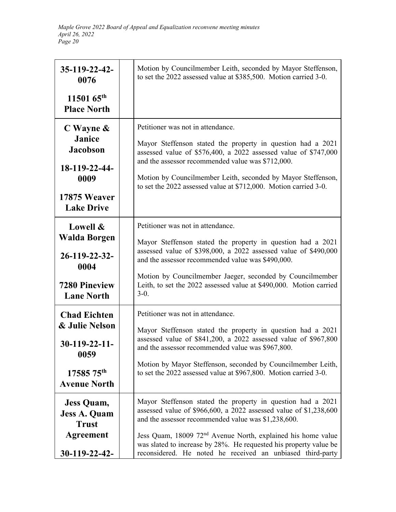| $35 - 119 - 22 - 42$<br>0076                                                                                      | Motion by Councilmember Leith, seconded by Mayor Steffenson,<br>to set the 2022 assessed value at \$385,500. Motion carried 3-0.                                                                                                                                                                                                                                                                       |
|-------------------------------------------------------------------------------------------------------------------|--------------------------------------------------------------------------------------------------------------------------------------------------------------------------------------------------------------------------------------------------------------------------------------------------------------------------------------------------------------------------------------------------------|
| $1150165^{\text{th}}$<br><b>Place North</b>                                                                       |                                                                                                                                                                                                                                                                                                                                                                                                        |
| $C$ Wayne $\&$<br><b>Janice</b><br><b>Jacobson</b><br>18-119-22-44-<br>0009<br>17875 Weaver<br><b>Lake Drive</b>  | Petitioner was not in attendance.<br>Mayor Steffenson stated the property in question had a 2021<br>assessed value of \$576,400, a 2022 assessed value of \$747,000<br>and the assessor recommended value was \$712,000.<br>Motion by Councilmember Leith, seconded by Mayor Steffenson,<br>to set the 2022 assessed value at \$712,000. Motion carried 3-0.                                           |
| Lowell &<br><b>Walda Borgen</b><br>26-119-22-32-<br>0004<br><b>7280 Pineview</b><br><b>Lane North</b>             | Petitioner was not in attendance.<br>Mayor Steffenson stated the property in question had a 2021<br>assessed value of \$398,000, a 2022 assessed value of \$490,000<br>and the assessor recommended value was \$490,000.<br>Motion by Councilmember Jaeger, seconded by Councilmember<br>Leith, to set the 2022 assessed value at \$490,000. Motion carried<br>$3-0.$                                  |
| <b>Chad Eichten</b><br>& Julie Nelson<br>$30-119-22-11-$<br>0059<br>17585 75 <sup>th</sup><br><b>Avenue North</b> | Petitioner was not in attendance.<br>Mayor Steffenson stated the property in question had a 2021<br>assessed value of \$841,200, a 2022 assessed value of \$967,800<br>and the assessor recommended value was \$967,800.<br>Motion by Mayor Steffenson, seconded by Councilmember Leith,<br>to set the 2022 assessed value at \$967,800. Motion carried 3-0.                                           |
| <b>Jess Quam,</b><br><b>Jess A. Quam</b><br><b>Trust</b><br><b>Agreement</b><br>30-119-22-42-                     | Mayor Steffenson stated the property in question had a 2021<br>assessed value of \$966,600, a 2022 assessed value of \$1,238,600<br>and the assessor recommended value was \$1,238,600.<br>Jess Quam, 18009 72 <sup>nd</sup> Avenue North, explained his home value<br>was slated to increase by 28%. He requested his property value be<br>reconsidered. He noted he received an unbiased third-party |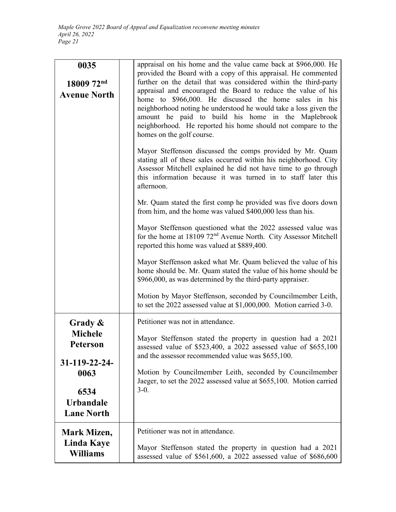| 0035<br>18009 72nd<br><b>Avenue North</b>                                                                       | appraisal on his home and the value came back at \$966,000. He<br>provided the Board with a copy of this appraisal. He commented<br>further on the detail that was considered within the third-party<br>appraisal and encouraged the Board to reduce the value of his<br>home to \$966,000. He discussed the home sales in his<br>neighborhood noting he understood he would take a loss given the<br>amount he paid to build his home in the Maplebrook<br>neighborhood. He reported his home should not compare to the<br>homes on the golf course.<br>Mayor Steffenson discussed the comps provided by Mr. Quam<br>stating all of these sales occurred within his neighborhood. City<br>Assessor Mitchell explained he did not have time to go through<br>this information because it was turned in to staff later this<br>afternoon.<br>Mr. Quam stated the first comp he provided was five doors down<br>from him, and the home was valued \$400,000 less than his.<br>Mayor Steffenson questioned what the 2022 assessed value was<br>for the home at 18109 72 <sup>nd</sup> Avenue North. City Assessor Mitchell<br>reported this home was valued at \$889,400.<br>Mayor Steffenson asked what Mr. Quam believed the value of his<br>home should be. Mr. Quam stated the value of his home should be<br>\$966,000, as was determined by the third-party appraiser.<br>Motion by Mayor Steffenson, seconded by Councilmember Leith,<br>to set the 2022 assessed value at \$1,000,000. Motion carried 3-0. |
|-----------------------------------------------------------------------------------------------------------------|-----------------------------------------------------------------------------------------------------------------------------------------------------------------------------------------------------------------------------------------------------------------------------------------------------------------------------------------------------------------------------------------------------------------------------------------------------------------------------------------------------------------------------------------------------------------------------------------------------------------------------------------------------------------------------------------------------------------------------------------------------------------------------------------------------------------------------------------------------------------------------------------------------------------------------------------------------------------------------------------------------------------------------------------------------------------------------------------------------------------------------------------------------------------------------------------------------------------------------------------------------------------------------------------------------------------------------------------------------------------------------------------------------------------------------------------------------------------------------------------------------------------|
| Grady &<br><b>Michele</b><br>Peterson<br>31-119-22-24-<br>0063<br>6534<br><b>Urbandale</b><br><b>Lane North</b> | Petitioner was not in attendance.<br>Mayor Steffenson stated the property in question had a 2021<br>assessed value of \$523,400, a 2022 assessed value of \$655,100<br>and the assessor recommended value was \$655,100.<br>Motion by Councilmember Leith, seconded by Councilmember<br>Jaeger, to set the 2022 assessed value at \$655,100. Motion carried<br>$3-0.$                                                                                                                                                                                                                                                                                                                                                                                                                                                                                                                                                                                                                                                                                                                                                                                                                                                                                                                                                                                                                                                                                                                                           |
| Mark Mizen,<br><b>Linda Kaye</b><br><b>Williams</b>                                                             | Petitioner was not in attendance.<br>Mayor Steffenson stated the property in question had a 2021<br>assessed value of \$561,600, a 2022 assessed value of \$686,600                                                                                                                                                                                                                                                                                                                                                                                                                                                                                                                                                                                                                                                                                                                                                                                                                                                                                                                                                                                                                                                                                                                                                                                                                                                                                                                                             |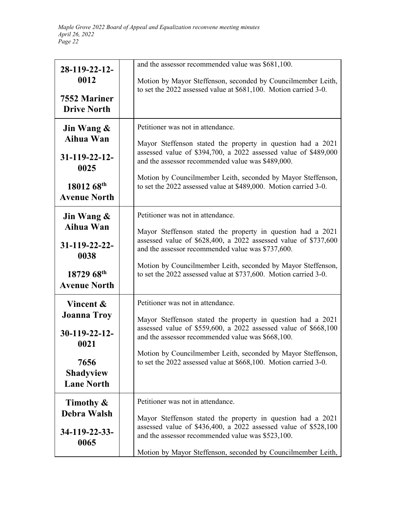| 28-119-22-12-<br>0012<br>7552 Mariner<br><b>Drive North</b>                                                | and the assessor recommended value was \$681,100.<br>Motion by Mayor Steffenson, seconded by Councilmember Leith,<br>to set the 2022 assessed value at \$681,100. Motion carried 3-0.                                                                                                                                                                        |
|------------------------------------------------------------------------------------------------------------|--------------------------------------------------------------------------------------------------------------------------------------------------------------------------------------------------------------------------------------------------------------------------------------------------------------------------------------------------------------|
| Jin Wang &<br>Aihua Wan<br>$31 - 119 - 22 - 12$<br>0025<br>18012 68th<br><b>Avenue North</b>               | Petitioner was not in attendance.<br>Mayor Steffenson stated the property in question had a 2021<br>assessed value of \$394,700, a 2022 assessed value of \$489,000<br>and the assessor recommended value was \$489,000.<br>Motion by Councilmember Leith, seconded by Mayor Steffenson,<br>to set the 2022 assessed value at \$489,000. Motion carried 3-0. |
| Jin Wang &<br>Aihua Wan<br>$31-119-22-22-$<br>0038<br>18729 68 <sup>th</sup><br><b>Avenue North</b>        | Petitioner was not in attendance.<br>Mayor Steffenson stated the property in question had a 2021<br>assessed value of \$628,400, a 2022 assessed value of \$737,600<br>and the assessor recommended value was \$737,600.<br>Motion by Councilmember Leith, seconded by Mayor Steffenson,<br>to set the 2022 assessed value at \$737,600. Motion carried 3-0. |
| Vincent &<br><b>Joanna Troy</b><br>$30-119-22-12$<br>0021<br>7656<br><b>Shadyview</b><br><b>Lane North</b> | Petitioner was not in attendance.<br>Mayor Steffenson stated the property in question had a 2021<br>assessed value of \$559,600, a 2022 assessed value of \$668,100<br>and the assessor recommended value was \$668,100.<br>Motion by Councilmember Leith, seconded by Mayor Steffenson,<br>to set the 2022 assessed value at \$668,100. Motion carried 3-0. |
| Timothy &<br>Debra Walsh<br>34-119-22-33-<br>0065                                                          | Petitioner was not in attendance.<br>Mayor Steffenson stated the property in question had a 2021<br>assessed value of \$436,400, a 2022 assessed value of \$528,100<br>and the assessor recommended value was \$523,100.<br>Motion by Mayor Steffenson, seconded by Councilmember Leith,                                                                     |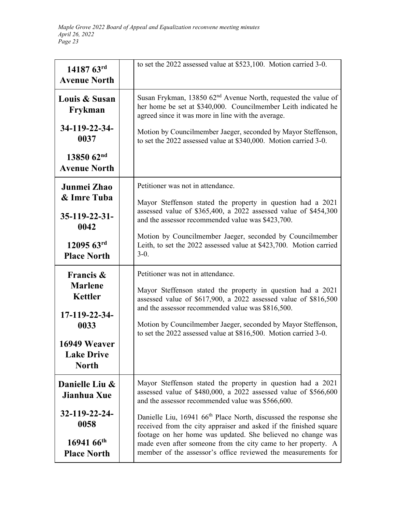| 14187 63rd<br><b>Avenue North</b>             | to set the 2022 assessed value at \$523,100. Motion carried 3-0.                                                                                                                              |
|-----------------------------------------------|-----------------------------------------------------------------------------------------------------------------------------------------------------------------------------------------------|
| Louis & Susan<br>Frykman                      | Susan Frykman, 13850 $62nd$ Avenue North, requested the value of<br>her home be set at \$340,000. Councilmember Leith indicated he<br>agreed since it was more in line with the average.      |
| 34-119-22-34-<br>0037                         | Motion by Councilmember Jaeger, seconded by Mayor Steffenson,<br>to set the 2022 assessed value at \$340,000. Motion carried 3-0.                                                             |
| $1385062^{nd}$<br><b>Avenue North</b>         |                                                                                                                                                                                               |
| Junmei Zhao                                   | Petitioner was not in attendance.                                                                                                                                                             |
| & Imre Tuba                                   | Mayor Steffenson stated the property in question had a 2021                                                                                                                                   |
| $35 - 119 - 22 - 31$<br>0042                  | assessed value of \$365,400, a 2022 assessed value of \$454,300<br>and the assessor recommended value was \$423,700.                                                                          |
| $1209563$ <sup>rd</sup><br><b>Place North</b> | Motion by Councilmember Jaeger, seconded by Councilmember<br>Leith, to set the 2022 assessed value at \$423,700. Motion carried<br>$3-0.$                                                     |
| Francis &                                     | Petitioner was not in attendance.                                                                                                                                                             |
| <b>Marlene</b><br><b>Kettler</b>              | Mayor Steffenson stated the property in question had a 2021<br>assessed value of \$617,900, a 2022 assessed value of \$816,500                                                                |
| 17-119-22-34-                                 | and the assessor recommended value was \$816,500.                                                                                                                                             |
| 0033                                          | Motion by Councilmember Jaeger, seconded by Mayor Steffenson,<br>to set the 2022 assessed value at \$816,500. Motion carried 3-0.                                                             |
| 16949 Weaver                                  |                                                                                                                                                                                               |
| <b>Lake Drive</b><br><b>North</b>             |                                                                                                                                                                                               |
| Danielle Liu &<br>Jianhua Xue                 | Mayor Steffenson stated the property in question had a 2021<br>assessed value of \$480,000, a 2022 assessed value of \$566,600<br>and the assessor recommended value was \$566,600.           |
| 32-119-22-24-<br>0058                         | Danielle Liu, 16941 66 <sup>th</sup> Place North, discussed the response she<br>received from the city appraiser and asked if the finished square                                             |
| $1694166$ <sup>th</sup><br><b>Place North</b> | footage on her home was updated. She believed no change was<br>made even after someone from the city came to her property. A<br>member of the assessor's office reviewed the measurements for |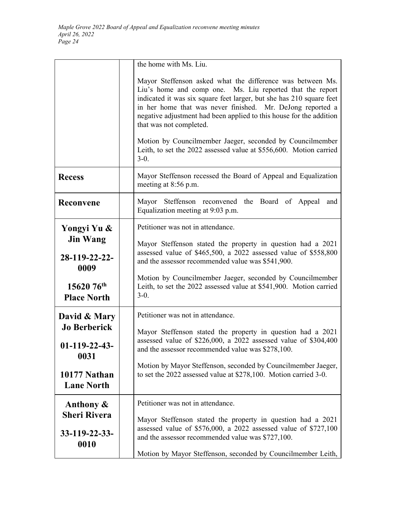|                                   | the home with Ms. Liu.                                                                                                                                                                                                                                                                                                                                                                                                                                                                             |
|-----------------------------------|----------------------------------------------------------------------------------------------------------------------------------------------------------------------------------------------------------------------------------------------------------------------------------------------------------------------------------------------------------------------------------------------------------------------------------------------------------------------------------------------------|
|                                   | Mayor Steffenson asked what the difference was between Ms.<br>Liu's home and comp one. Ms. Liu reported that the report<br>indicated it was six square feet larger, but she has 210 square feet<br>in her home that was never finished. Mr. DeJong reported a<br>negative adjustment had been applied to this house for the addition<br>that was not completed.<br>Motion by Councilmember Jaeger, seconded by Councilmember<br>Leith, to set the 2022 assessed value at \$556,600. Motion carried |
|                                   | $3-0.$                                                                                                                                                                                                                                                                                                                                                                                                                                                                                             |
| <b>Recess</b>                     | Mayor Steffenson recessed the Board of Appeal and Equalization<br>meeting at 8:56 p.m.                                                                                                                                                                                                                                                                                                                                                                                                             |
| Reconvene                         | Mayor Steffenson reconvened the Board of Appeal and<br>Equalization meeting at 9:03 p.m.                                                                                                                                                                                                                                                                                                                                                                                                           |
| Yongyi Yu &                       | Petitioner was not in attendance.                                                                                                                                                                                                                                                                                                                                                                                                                                                                  |
| <b>Jin Wang</b>                   | Mayor Steffenson stated the property in question had a 2021                                                                                                                                                                                                                                                                                                                                                                                                                                        |
| 28-119-22-22-<br>0009             | assessed value of \$465,500, a 2022 assessed value of \$558,800<br>and the assessor recommended value was \$541,900.                                                                                                                                                                                                                                                                                                                                                                               |
| 15620 76th<br><b>Place North</b>  | Motion by Councilmember Jaeger, seconded by Councilmember<br>Leith, to set the 2022 assessed value at \$541,900. Motion carried<br>$3-0.$                                                                                                                                                                                                                                                                                                                                                          |
| David & Mary                      | Petitioner was not in attendance.                                                                                                                                                                                                                                                                                                                                                                                                                                                                  |
| <b>Jo Berberick</b>               | Mayor Steffenson stated the property in question had a 2021                                                                                                                                                                                                                                                                                                                                                                                                                                        |
| $01-119-22-43-$<br>0031           | assessed value of \$226,000, a 2022 assessed value of \$304,400<br>and the assessor recommended value was \$278,100.                                                                                                                                                                                                                                                                                                                                                                               |
| 10177 Nathan<br><b>Lane North</b> | Motion by Mayor Steffenson, seconded by Councilmember Jaeger,<br>to set the 2022 assessed value at \$278,100. Motion carried 3-0.                                                                                                                                                                                                                                                                                                                                                                  |
| Anthony $\&$                      | Petitioner was not in attendance.                                                                                                                                                                                                                                                                                                                                                                                                                                                                  |
| <b>Sheri Rivera</b>               | Mayor Steffenson stated the property in question had a 2021                                                                                                                                                                                                                                                                                                                                                                                                                                        |
| 33-119-22-33-<br>0010             | assessed value of \$576,000, a 2022 assessed value of \$727,100<br>and the assessor recommended value was \$727,100.                                                                                                                                                                                                                                                                                                                                                                               |
|                                   | Motion by Mayor Steffenson, seconded by Councilmember Leith,                                                                                                                                                                                                                                                                                                                                                                                                                                       |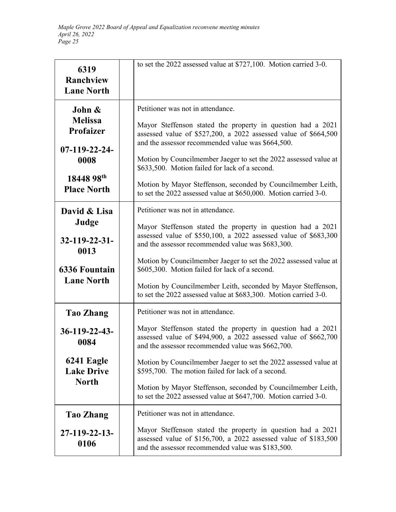| 6319<br>Ranchview<br><b>Lane North</b>                                                                      | to set the 2022 assessed value at \$727,100. Motion carried 3-0.                                                                                                                                                                                                                                                                                                                                                                                                                       |
|-------------------------------------------------------------------------------------------------------------|----------------------------------------------------------------------------------------------------------------------------------------------------------------------------------------------------------------------------------------------------------------------------------------------------------------------------------------------------------------------------------------------------------------------------------------------------------------------------------------|
| John &<br><b>Melissa</b><br><b>Profaizer</b><br>$07-119-22-24-$<br>0008<br>18448 98th<br><b>Place North</b> | Petitioner was not in attendance.<br>Mayor Steffenson stated the property in question had a 2021<br>assessed value of \$527,200, a 2022 assessed value of \$664,500<br>and the assessor recommended value was \$664,500.<br>Motion by Councilmember Jaeger to set the 2022 assessed value at<br>\$633,500. Motion failed for lack of a second.<br>Motion by Mayor Steffenson, seconded by Councilmember Leith,<br>to set the 2022 assessed value at \$650,000. Motion carried 3-0.     |
| David & Lisa<br>Judge<br>$32 - 119 - 22 - 31$<br>0013<br><b>6336 Fountain</b><br><b>Lane North</b>          | Petitioner was not in attendance.<br>Mayor Steffenson stated the property in question had a 2021<br>assessed value of \$550,100, a 2022 assessed value of \$683,300<br>and the assessor recommended value was \$683,300.<br>Motion by Councilmember Jaeger to set the 2022 assessed value at<br>\$605,300. Motion failed for lack of a second.<br>Motion by Councilmember Leith, seconded by Mayor Steffenson,<br>to set the 2022 assessed value at \$683,300. Motion carried 3-0.     |
| <b>Tao Zhang</b><br>$36 - 119 - 22 - 43$<br>0084<br>6241 Eagle<br><b>Lake Drive</b><br><b>North</b>         | Petitioner was not in attendance.<br>Mayor Steffenson stated the property in question had a 2021<br>assessed value of \$494,900, a 2022 assessed value of \$662,700<br>and the assessor recommended value was \$662,700.<br>Motion by Councilmember Jaeger to set the 2022 assessed value at<br>\$595,700. The motion failed for lack of a second.<br>Motion by Mayor Steffenson, seconded by Councilmember Leith,<br>to set the 2022 assessed value at \$647,700. Motion carried 3-0. |
| Tao Zhang<br>27-119-22-13-<br>0106                                                                          | Petitioner was not in attendance.<br>Mayor Steffenson stated the property in question had a 2021<br>assessed value of \$156,700, a 2022 assessed value of \$183,500<br>and the assessor recommended value was \$183,500.                                                                                                                                                                                                                                                               |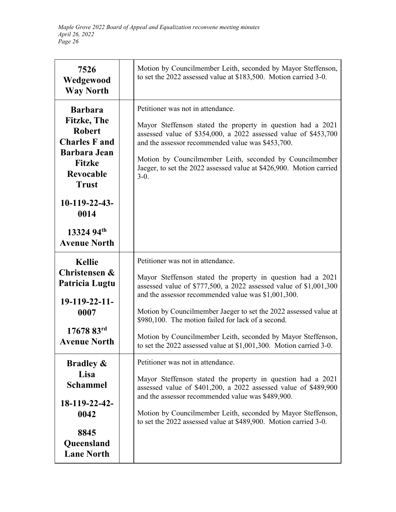| 7526<br>Wedgewood<br><b>Way North</b>                                                                                                                      | Motion by Councilmember Leith, seconded by Mayor Steffenson,<br>to set the 2022 assessed value at \$183,500. Motion carried 3-0.                                                                                                                                                                                                                                                                                                                                                             |
|------------------------------------------------------------------------------------------------------------------------------------------------------------|----------------------------------------------------------------------------------------------------------------------------------------------------------------------------------------------------------------------------------------------------------------------------------------------------------------------------------------------------------------------------------------------------------------------------------------------------------------------------------------------|
| <b>Barbara</b><br><b>Fitzke</b> , The<br><b>Robert</b><br><b>Charles F and</b><br><b>Barbara Jean</b><br><b>Fitzke</b><br><b>Revocable</b><br><b>Trust</b> | Petitioner was not in attendance.<br>Mayor Steffenson stated the property in question had a 2021<br>assessed value of \$354,000, a 2022 assessed value of \$453,700<br>and the assessor recommended value was \$453,700.<br>Motion by Councilmember Leith, seconded by Councilmember<br>Jaeger, to set the 2022 assessed value at \$426,900. Motion carried<br>$3-0.$                                                                                                                        |
| 10-119-22-43-<br>0014<br>13324 94th<br><b>Avenue North</b>                                                                                                 |                                                                                                                                                                                                                                                                                                                                                                                                                                                                                              |
| <b>Kellie</b><br>Christensen &<br>Patricia Lugtu<br>$19-119-22-11-$<br>0007<br>$17678$ 83 <sup>rd</sup><br><b>Avenue North</b>                             | Petitioner was not in attendance.<br>Mayor Steffenson stated the property in question had a 2021<br>assessed value of \$777,500, a 2022 assessed value of \$1,001,300<br>and the assessor recommended value was \$1,001,300.<br>Motion by Councilmember Jaeger to set the 2022 assessed value at<br>\$980,100. The motion failed for lack of a second.<br>Motion by Councilmember Leith, seconded by Mayor Steffenson,<br>to set the 2022 assessed value at \$1,001,300. Motion carried 3-0. |
| <b>Bradley &amp;</b><br>Lisa<br><b>Schammel</b><br>18-119-22-42-<br>0042<br>8845<br>Queensland<br><b>Lane North</b>                                        | Petitioner was not in attendance.<br>Mayor Steffenson stated the property in question had a 2021<br>assessed value of \$401,200, a 2022 assessed value of \$489,900<br>and the assessor recommended value was \$489,900.<br>Motion by Councilmember Leith, seconded by Mayor Steffenson,<br>to set the 2022 assessed value at \$489,900. Motion carried 3-0.                                                                                                                                 |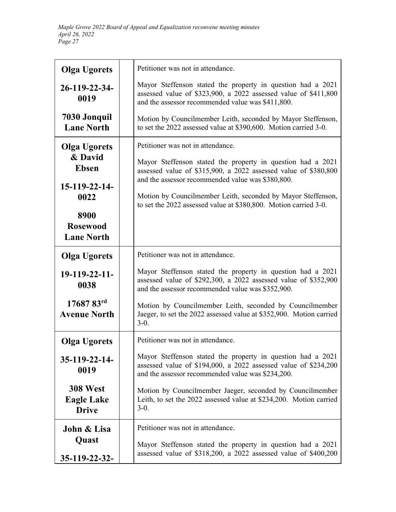| <b>Olga Ugorets</b>                                  | Petitioner was not in attendance.                                                                                                                                                   |
|------------------------------------------------------|-------------------------------------------------------------------------------------------------------------------------------------------------------------------------------------|
| 26-119-22-34-<br>0019                                | Mayor Steffenson stated the property in question had a 2021<br>assessed value of \$323,900, a 2022 assessed value of \$411,800<br>and the assessor recommended value was \$411,800. |
| 7030 Jonquil<br><b>Lane North</b>                    | Motion by Councilmember Leith, seconded by Mayor Steffenson,<br>to set the 2022 assessed value at \$390,600. Motion carried 3-0.                                                    |
| <b>Olga Ugorets</b>                                  | Petitioner was not in attendance.                                                                                                                                                   |
| & David<br><b>Ebsen</b>                              | Mayor Steffenson stated the property in question had a 2021<br>assessed value of \$315,900, a 2022 assessed value of \$380,800<br>and the assessor recommended value was \$380,800. |
| 15-119-22-14-<br>0022                                | Motion by Councilmember Leith, seconded by Mayor Steffenson,<br>to set the 2022 assessed value at \$380,800. Motion carried 3-0.                                                    |
| 8900<br><b>Rosewood</b><br><b>Lane North</b>         |                                                                                                                                                                                     |
| <b>Olga Ugorets</b>                                  | Petitioner was not in attendance.                                                                                                                                                   |
| 19-119-22-11-<br>0038                                | Mayor Steffenson stated the property in question had a 2021<br>assessed value of \$292,300, a 2022 assessed value of \$352,900<br>and the assessor recommended value was \$352,900. |
| 17687 83rd<br><b>Avenue North</b>                    | Motion by Councilmember Leith, seconded by Councilmember<br>Jaeger, to set the 2022 assessed value at \$352,900. Motion carried<br>$3-0.$                                           |
| <b>Olga Ugorets</b>                                  | Petitioner was not in attendance.                                                                                                                                                   |
| 35-119-22-14-<br>0019                                | Mayor Steffenson stated the property in question had a 2021<br>assessed value of \$194,000, a 2022 assessed value of \$234,200<br>and the assessor recommended value was \$234,200. |
| <b>308 West</b><br><b>Eagle Lake</b><br><b>Drive</b> | Motion by Councilmember Jaeger, seconded by Councilmember<br>Leith, to set the 2022 assessed value at \$234,200. Motion carried<br>$3-0.$                                           |
| John & Lisa                                          | Petitioner was not in attendance.                                                                                                                                                   |
| Quast<br>35-119-22-32-                               | Mayor Steffenson stated the property in question had a 2021<br>assessed value of \$318,200, a 2022 assessed value of \$400,200                                                      |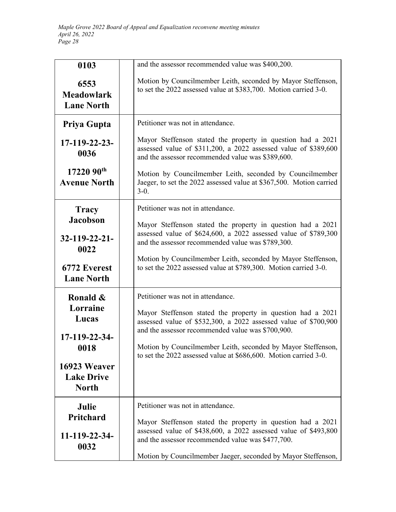| 0103                                              | and the assessor recommended value was \$400,200.                                                                                                                                   |
|---------------------------------------------------|-------------------------------------------------------------------------------------------------------------------------------------------------------------------------------------|
| 6553<br><b>Meadowlark</b><br><b>Lane North</b>    | Motion by Councilmember Leith, seconded by Mayor Steffenson,<br>to set the 2022 assessed value at \$383,700. Motion carried 3-0.                                                    |
| Priya Gupta                                       | Petitioner was not in attendance.                                                                                                                                                   |
| 17-119-22-23-<br>0036                             | Mayor Steffenson stated the property in question had a 2021<br>assessed value of \$311,200, a 2022 assessed value of \$389,600<br>and the assessor recommended value was \$389,600. |
| $1722090^{th}$<br><b>Avenue North</b>             | Motion by Councilmember Leith, seconded by Councilmember<br>Jaeger, to set the 2022 assessed value at \$367,500. Motion carried<br>$3-0.$                                           |
| <b>Tracy</b>                                      | Petitioner was not in attendance.                                                                                                                                                   |
| <b>Jacobson</b>                                   | Mayor Steffenson stated the property in question had a 2021                                                                                                                         |
| $32 - 119 - 22 - 21$<br>0022                      | assessed value of \$624,600, a 2022 assessed value of \$789,300<br>and the assessor recommended value was \$789,300.                                                                |
| 6772 Everest<br><b>Lane North</b>                 | Motion by Councilmember Leith, seconded by Mayor Steffenson,<br>to set the 2022 assessed value at \$789,300. Motion carried 3-0.                                                    |
| Ronald &                                          | Petitioner was not in attendance.                                                                                                                                                   |
| Lorraine<br>Lucas                                 | Mayor Steffenson stated the property in question had a 2021<br>assessed value of \$532,300, a 2022 assessed value of \$700,900<br>and the assessor recommended value was \$700,900. |
| 17-119-22-34-<br>0018                             | Motion by Councilmember Leith, seconded by Mayor Steffenson,<br>to set the 2022 assessed value at \$686,600. Motion carried 3-0.                                                    |
| 16923 Weaver<br><b>Lake Drive</b><br><b>North</b> |                                                                                                                                                                                     |
| Julie                                             | Petitioner was not in attendance.                                                                                                                                                   |
| Pritchard                                         | Mayor Steffenson stated the property in question had a 2021                                                                                                                         |
| 11-119-22-34-<br>0032                             | assessed value of \$438,600, a 2022 assessed value of \$493,800<br>and the assessor recommended value was \$477,700.                                                                |
|                                                   | Motion by Councilmember Jaeger, seconded by Mayor Steffenson,                                                                                                                       |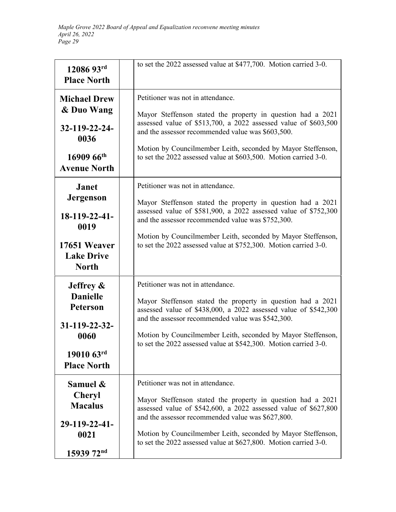| 12086 93rd<br><b>Place North</b>                                                                                       | to set the 2022 assessed value at \$477,700. Motion carried 3-0.                                                                                                                                                                                                                                                                                             |
|------------------------------------------------------------------------------------------------------------------------|--------------------------------------------------------------------------------------------------------------------------------------------------------------------------------------------------------------------------------------------------------------------------------------------------------------------------------------------------------------|
| <b>Michael Drew</b><br>& Duo Wang<br>32-119-22-24-<br>0036<br>16909 66th<br><b>Avenue North</b>                        | Petitioner was not in attendance.<br>Mayor Steffenson stated the property in question had a 2021<br>assessed value of \$513,700, a 2022 assessed value of \$603,500<br>and the assessor recommended value was \$603,500.<br>Motion by Councilmember Leith, seconded by Mayor Steffenson,<br>to set the 2022 assessed value at \$603,500. Motion carried 3-0. |
| <b>Janet</b><br><b>Jergenson</b><br>$18-119-22-41-$<br>0019<br>17651 Weaver<br><b>Lake Drive</b><br><b>North</b>       | Petitioner was not in attendance.<br>Mayor Steffenson stated the property in question had a 2021<br>assessed value of \$581,900, a 2022 assessed value of \$752,300<br>and the assessor recommended value was \$752,300.<br>Motion by Councilmember Leith, seconded by Mayor Steffenson,<br>to set the 2022 assessed value at \$752,300. Motion carried 3-0. |
| Jeffrey $\&$<br><b>Danielle</b><br><b>Peterson</b><br>$31 - 119 - 22 - 32$<br>0060<br>19010 63rd<br><b>Place North</b> | Petitioner was not in attendance.<br>Mayor Steffenson stated the property in question had a 2021<br>assessed value of \$438,000, a 2022 assessed value of \$542,300<br>and the assessor recommended value was \$542,300.<br>Motion by Councilmember Leith, seconded by Mayor Steffenson,<br>to set the 2022 assessed value at \$542,300. Motion carried 3-0. |
| Samuel &<br><b>Cheryl</b><br><b>Macalus</b><br>29-119-22-41-<br>0021<br>15939 72nd                                     | Petitioner was not in attendance.<br>Mayor Steffenson stated the property in question had a 2021<br>assessed value of \$542,600, a 2022 assessed value of \$627,800<br>and the assessor recommended value was \$627,800.<br>Motion by Councilmember Leith, seconded by Mayor Steffenson,<br>to set the 2022 assessed value at \$627,800. Motion carried 3-0. |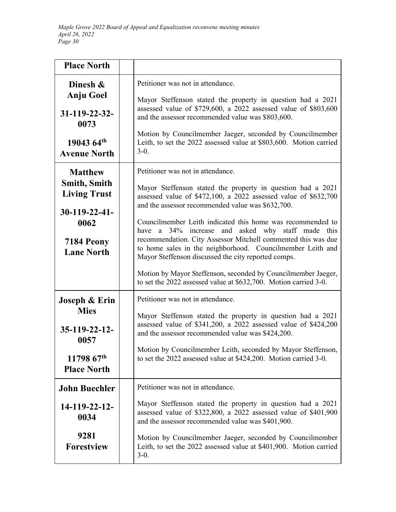| <b>Place North</b>                                                                                                         |                                                                                                                                                                                                                                                                                                                                                                                                                                                                                                                                      |
|----------------------------------------------------------------------------------------------------------------------------|--------------------------------------------------------------------------------------------------------------------------------------------------------------------------------------------------------------------------------------------------------------------------------------------------------------------------------------------------------------------------------------------------------------------------------------------------------------------------------------------------------------------------------------|
| Dinesh &<br><b>Anju Goel</b><br>$31 - 119 - 22 - 32$<br>0073<br>19043 64th<br><b>Avenue North</b>                          | Petitioner was not in attendance.<br>Mayor Steffenson stated the property in question had a 2021<br>assessed value of \$729,600, a 2022 assessed value of \$803,600<br>and the assessor recommended value was \$803,600.<br>Motion by Councilmember Jaeger, seconded by Councilmember<br>Leith, to set the 2022 assessed value at \$803,600. Motion carried<br>$3-0.$                                                                                                                                                                |
| <b>Matthew</b><br><b>Smith, Smith</b><br><b>Living Trust</b><br>$30-119-22-41-$<br>0062<br>7184 Peony<br><b>Lane North</b> | Petitioner was not in attendance.<br>Mayor Steffenson stated the property in question had a 2021<br>assessed value of \$472,100, a 2022 assessed value of \$632,700<br>and the assessor recommended value was \$632,700.<br>Councilmember Leith indicated this home was recommended to<br>34% increase and asked why staff made this<br>have a<br>recommendation. City Assessor Mitchell commented this was due<br>to home sales in the neighborhood. Councilmember Leith and<br>Mayor Steffenson discussed the city reported comps. |
|                                                                                                                            | Motion by Mayor Steffenson, seconded by Councilmember Jaeger,<br>to set the 2022 assessed value at \$632,700. Motion carried 3-0.                                                                                                                                                                                                                                                                                                                                                                                                    |
| Joseph & Erin<br><b>Mies</b><br>$35-119-22-12-$<br>0057<br>$1179867^{\text{th}}$<br><b>Place North</b>                     | Petitioner was not in attendance.<br>Mayor Steffenson stated the property in question had a 2021<br>assessed value of \$341,200, a 2022 assessed value of \$424,200<br>and the assessor recommended value was \$424,200.<br>Motion by Councilmember Leith, seconded by Mayor Steffenson,<br>to set the 2022 assessed value at \$424,200. Motion carried 3-0.                                                                                                                                                                         |
| <b>John Buechler</b><br>14-119-22-12-<br>0034<br>9281<br><b>Forestview</b>                                                 | Petitioner was not in attendance.<br>Mayor Steffenson stated the property in question had a 2021<br>assessed value of \$322,800, a 2022 assessed value of \$401,900<br>and the assessor recommended value was \$401,900.<br>Motion by Councilmember Jaeger, seconded by Councilmember<br>Leith, to set the 2022 assessed value at \$401,900. Motion carried<br>$3-0.$                                                                                                                                                                |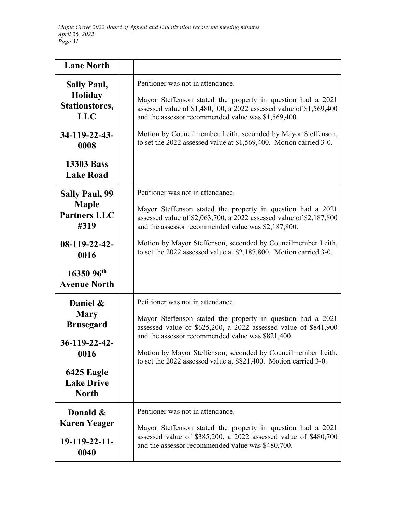| <b>Lane North</b>                                             |                                                                                                                                                                                                                                |
|---------------------------------------------------------------|--------------------------------------------------------------------------------------------------------------------------------------------------------------------------------------------------------------------------------|
| <b>Sally Paul,</b><br>Holiday<br>Stationstores,<br><b>LLC</b> | Petitioner was not in attendance.<br>Mayor Steffenson stated the property in question had a 2021<br>assessed value of \$1,480,100, a 2022 assessed value of \$1,569,400<br>and the assessor recommended value was \$1,569,400. |
| 34-119-22-43-<br>0008                                         | Motion by Councilmember Leith, seconded by Mayor Steffenson,<br>to set the 2022 assessed value at \$1,569,400. Motion carried 3-0.                                                                                             |
| <b>13303 Bass</b><br><b>Lake Road</b>                         |                                                                                                                                                                                                                                |
| <b>Sally Paul, 99</b>                                         | Petitioner was not in attendance.                                                                                                                                                                                              |
| <b>Maple</b><br><b>Partners LLC</b><br>#319                   | Mayor Steffenson stated the property in question had a 2021<br>assessed value of \$2,063,700, a 2022 assessed value of \$2,187,800<br>and the assessor recommended value was \$2,187,800.                                      |
| $08-119-22-42-$<br>0016                                       | Motion by Mayor Steffenson, seconded by Councilmember Leith,<br>to set the 2022 assessed value at \$2,187,800. Motion carried 3-0.                                                                                             |
| 16350 96th<br><b>Avenue North</b>                             |                                                                                                                                                                                                                                |
| Daniel &<br><b>Mary</b><br><b>Brusegard</b>                   | Petitioner was not in attendance.<br>Mayor Steffenson stated the property in question had a 2021<br>assessed value of \$625,200, a 2022 assessed value of \$841,900                                                            |
| 36-119-22-42-                                                 | and the assessor recommended value was \$821,400.                                                                                                                                                                              |
| 0016                                                          | Motion by Mayor Steffenson, seconded by Councilmember Leith,<br>to set the 2022 assessed value at \$821,400. Motion carried 3-0.                                                                                               |
| 6425 Eagle<br><b>Lake Drive</b><br><b>North</b>               |                                                                                                                                                                                                                                |
| Donald &                                                      | Petitioner was not in attendance.                                                                                                                                                                                              |
| <b>Karen Yeager</b>                                           | Mayor Steffenson stated the property in question had a 2021                                                                                                                                                                    |
| 19-119-22-11-<br>0040                                         | assessed value of \$385,200, a 2022 assessed value of \$480,700<br>and the assessor recommended value was \$480,700.                                                                                                           |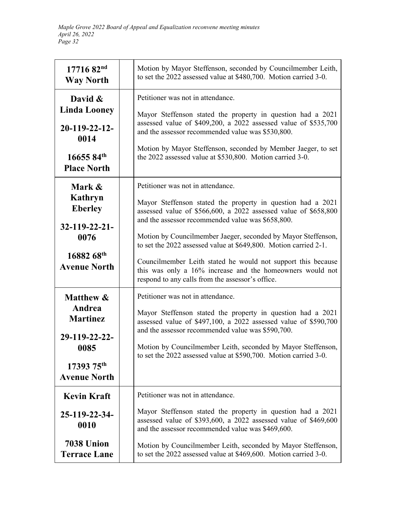| 17716 82nd<br><b>Way North</b>                                                                                             | Motion by Mayor Steffenson, seconded by Councilmember Leith,<br>to set the 2022 assessed value at \$480,700. Motion carried 3-0.                                                                                                                                                                                                                                                                                                                                                                                                               |
|----------------------------------------------------------------------------------------------------------------------------|------------------------------------------------------------------------------------------------------------------------------------------------------------------------------------------------------------------------------------------------------------------------------------------------------------------------------------------------------------------------------------------------------------------------------------------------------------------------------------------------------------------------------------------------|
| David &<br><b>Linda Looney</b><br>$20-119-22-12$<br>0014<br>16655 84th<br><b>Place North</b>                               | Petitioner was not in attendance.<br>Mayor Steffenson stated the property in question had a 2021<br>assessed value of \$409,200, a 2022 assessed value of \$535,700<br>and the assessor recommended value was \$530,800.<br>Motion by Mayor Steffenson, seconded by Member Jaeger, to set<br>the 2022 assessed value at \$530,800. Motion carried 3-0.                                                                                                                                                                                         |
| Mark &<br>Kathryn<br><b>Eberley</b><br>$32 - 119 - 22 - 21$<br>0076<br>16882 68th<br><b>Avenue North</b>                   | Petitioner was not in attendance.<br>Mayor Steffenson stated the property in question had a 2021<br>assessed value of \$566,600, a 2022 assessed value of \$658,800<br>and the assessor recommended value was \$658,800.<br>Motion by Councilmember Jaeger, seconded by Mayor Steffenson,<br>to set the 2022 assessed value at \$649,800. Motion carried 2-1.<br>Councilmember Leith stated he would not support this because<br>this was only a 16% increase and the homeowners would not<br>respond to any calls from the assessor's office. |
| <b>Matthew &amp;</b><br>Andrea<br><b>Martinez</b><br>29-119-22-22-<br>0085<br>$1739375^{\text{th}}$<br><b>Avenue North</b> | Petitioner was not in attendance.<br>Mayor Steffenson stated the property in question had a 2021<br>assessed value of \$497,100, a 2022 assessed value of \$590,700<br>and the assessor recommended value was \$590,700.<br>Motion by Councilmember Leith, seconded by Mayor Steffenson,<br>to set the 2022 assessed value at \$590,700. Motion carried 3-0.                                                                                                                                                                                   |
| <b>Kevin Kraft</b><br>25-119-22-34-<br>0010<br><b>7038 Union</b><br><b>Terrace Lane</b>                                    | Petitioner was not in attendance.<br>Mayor Steffenson stated the property in question had a 2021<br>assessed value of \$393,600, a 2022 assessed value of \$469,600<br>and the assessor recommended value was \$469,600.<br>Motion by Councilmember Leith, seconded by Mayor Steffenson,<br>to set the 2022 assessed value at \$469,600. Motion carried 3-0.                                                                                                                                                                                   |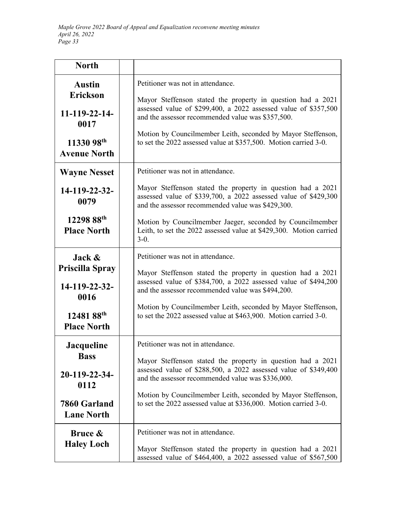| <b>North</b>                                                                                          |                                                                                                                                                                                                                                                                                                                                                              |
|-------------------------------------------------------------------------------------------------------|--------------------------------------------------------------------------------------------------------------------------------------------------------------------------------------------------------------------------------------------------------------------------------------------------------------------------------------------------------------|
| <b>Austin</b><br><b>Erickson</b><br>$11 - 119 - 22 - 14$<br>0017<br>11330 98th<br><b>Avenue North</b> | Petitioner was not in attendance.<br>Mayor Steffenson stated the property in question had a 2021<br>assessed value of \$299,400, a 2022 assessed value of \$357,500<br>and the assessor recommended value was \$357,500.<br>Motion by Councilmember Leith, seconded by Mayor Steffenson,<br>to set the 2022 assessed value at \$357,500. Motion carried 3-0. |
| <b>Wayne Nesset</b>                                                                                   | Petitioner was not in attendance.                                                                                                                                                                                                                                                                                                                            |
| 14-119-22-32-<br>0079                                                                                 | Mayor Steffenson stated the property in question had a 2021<br>assessed value of \$339,700, a 2022 assessed value of \$429,300<br>and the assessor recommended value was \$429,300.                                                                                                                                                                          |
| 12298 88th<br><b>Place North</b>                                                                      | Motion by Councilmember Jaeger, seconded by Councilmember<br>Leith, to set the 2022 assessed value at \$429,300. Motion carried<br>$3-0.$                                                                                                                                                                                                                    |
| Jack $\&$<br><b>Priscilla Spray</b><br>14-119-22-32-<br>0016<br>12481 88th<br><b>Place North</b>      | Petitioner was not in attendance.<br>Mayor Steffenson stated the property in question had a 2021<br>assessed value of \$384,700, a 2022 assessed value of \$494,200<br>and the assessor recommended value was \$494,200.<br>Motion by Councilmember Leith, seconded by Mayor Steffenson,<br>to set the 2022 assessed value at \$463,900. Motion carried 3-0. |
| <b>Jacqueline</b><br><b>Bass</b><br>20-119-22-34-<br>0112<br>7860 Garland<br><b>Lane North</b>        | Petitioner was not in attendance.<br>Mayor Steffenson stated the property in question had a 2021<br>assessed value of \$288,500, a 2022 assessed value of \$349,400<br>and the assessor recommended value was \$336,000.<br>Motion by Councilmember Leith, seconded by Mayor Steffenson,<br>to set the 2022 assessed value at \$336,000. Motion carried 3-0. |
| Bruce &<br><b>Haley Loch</b>                                                                          | Petitioner was not in attendance.<br>Mayor Steffenson stated the property in question had a 2021<br>assessed value of \$464,400, a 2022 assessed value of \$567,500                                                                                                                                                                                          |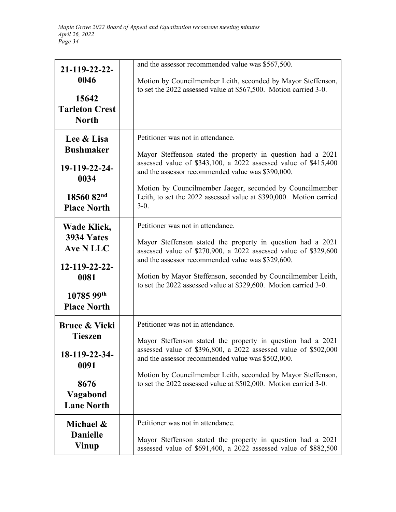| 21-119-22-22-<br>0046<br>15642<br><b>Tarleton Crest</b><br><b>North</b>                                      | and the assessor recommended value was \$567,500.<br>Motion by Councilmember Leith, seconded by Mayor Steffenson,<br>to set the 2022 assessed value at \$567,500. Motion carried 3-0.                                                                                                                                                                                 |
|--------------------------------------------------------------------------------------------------------------|-----------------------------------------------------------------------------------------------------------------------------------------------------------------------------------------------------------------------------------------------------------------------------------------------------------------------------------------------------------------------|
| Lee & Lisa<br><b>Bushmaker</b><br>19-119-22-24-<br>0034<br>18560 82nd<br><b>Place North</b>                  | Petitioner was not in attendance.<br>Mayor Steffenson stated the property in question had a 2021<br>assessed value of \$343,100, a 2022 assessed value of \$415,400<br>and the assessor recommended value was \$390,000.<br>Motion by Councilmember Jaeger, seconded by Councilmember<br>Leith, to set the 2022 assessed value at \$390,000. Motion carried<br>$3-0.$ |
| Wade Klick,<br>3934 Yates<br>Ave N LLC<br>12-119-22-22-<br>0081<br>10785 99th<br><b>Place North</b>          | Petitioner was not in attendance.<br>Mayor Steffenson stated the property in question had a 2021<br>assessed value of \$270,900, a 2022 assessed value of \$329,600<br>and the assessor recommended value was \$329,600.<br>Motion by Mayor Steffenson, seconded by Councilmember Leith,<br>to set the 2022 assessed value at \$329,600. Motion carried 3-0.          |
| <b>Bruce &amp; Vicki</b><br><b>Tieszen</b><br>18-119-22-34-<br>0091<br>8676<br>Vagabond<br><b>Lane North</b> | Petitioner was not in attendance.<br>Mayor Steffenson stated the property in question had a 2021<br>assessed value of \$396,800, a 2022 assessed value of \$502,000<br>and the assessor recommended value was \$502,000.<br>Motion by Councilmember Leith, seconded by Mayor Steffenson,<br>to set the 2022 assessed value at \$502,000. Motion carried 3-0.          |
| Michael &<br><b>Danielle</b><br><b>Vinup</b>                                                                 | Petitioner was not in attendance.<br>Mayor Steffenson stated the property in question had a 2021<br>assessed value of \$691,400, a 2022 assessed value of \$882,500                                                                                                                                                                                                   |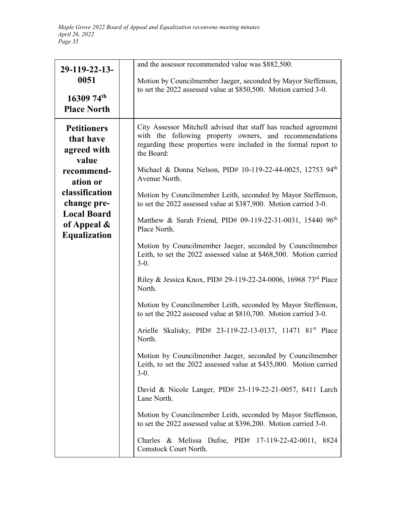| 29-119-22-13-<br>0051<br>$1630974^{\text{th}}$<br><b>Place North</b>                                                                                                              | and the assessor recommended value was \$882,500.<br>Motion by Councilmember Jaeger, seconded by Mayor Steffenson,<br>to set the 2022 assessed value at \$850,500. Motion carried 3-0.                                                                                                                                                                                                                                                                                                                                                                                                                                                                                                                                                                                                                                                                                                                                                                                                                                                                                                                                                                                                                                                                                                                                                                                                                                                     |
|-----------------------------------------------------------------------------------------------------------------------------------------------------------------------------------|--------------------------------------------------------------------------------------------------------------------------------------------------------------------------------------------------------------------------------------------------------------------------------------------------------------------------------------------------------------------------------------------------------------------------------------------------------------------------------------------------------------------------------------------------------------------------------------------------------------------------------------------------------------------------------------------------------------------------------------------------------------------------------------------------------------------------------------------------------------------------------------------------------------------------------------------------------------------------------------------------------------------------------------------------------------------------------------------------------------------------------------------------------------------------------------------------------------------------------------------------------------------------------------------------------------------------------------------------------------------------------------------------------------------------------------------|
| <b>Petitioners</b><br>that have<br>agreed with<br>value<br>recommend-<br>ation or<br>classification<br>change pre-<br><b>Local Board</b><br>of Appeal $\&$<br><b>Equalization</b> | City Assessor Mitchell advised that staff has reached agreement<br>with the following property owners, and recommendations<br>regarding these properties were included in the formal report to<br>the Board:<br>Michael & Donna Nelson, PID# 10-119-22-44-0025, 12753 94 <sup>th</sup><br>Avenue North.<br>Motion by Councilmember Leith, seconded by Mayor Steffenson,<br>to set the 2022 assessed value at \$387,900. Motion carried 3-0.<br>Matthew & Sarah Friend, PID# 09-119-22-31-0031, 15440 96 <sup>th</sup><br>Place North.<br>Motion by Councilmember Jaeger, seconded by Councilmember<br>Leith, to set the 2022 assessed value at \$468,500. Motion carried<br>$3-0.$<br>Riley & Jessica Knox, PID# 29-119-22-24-0006, 16968 73rd Place<br>North.<br>Motion by Councilmember Leith, seconded by Mayor Steffenson,<br>to set the 2022 assessed value at \$810,700. Motion carried 3-0.<br>Arielle Skalisky, PID# 23-119-22-13-0137, 11471 81 <sup>st</sup> Place<br>North.<br>Motion by Councilmember Jaeger, seconded by Councilmember<br>Leith, to set the 2022 assessed value at \$435,000. Motion carried<br>$3-0.$<br>David & Nicole Langer, PID# 23-119-22-21-0057, 8411 Larch<br>Lane North.<br>Motion by Councilmember Leith, seconded by Mayor Steffenson,<br>to set the 2022 assessed value at \$396,200. Motion carried 3-0.<br>Charles & Melissa Dufoe, $PID#$ 17-119-22-42-0011,<br>8824<br>Comstock Court North. |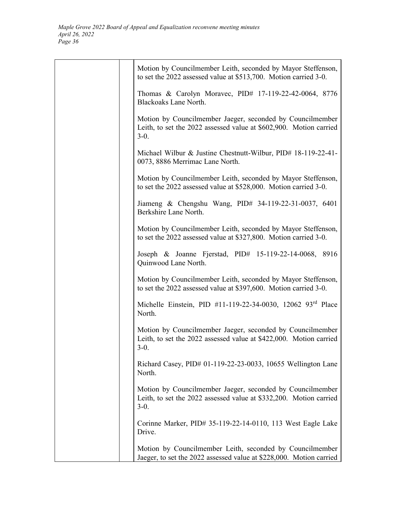|  | Motion by Councilmember Leith, seconded by Mayor Steffenson,<br>to set the 2022 assessed value at \$513,700. Motion carried 3-0.          |
|--|-------------------------------------------------------------------------------------------------------------------------------------------|
|  | Thomas & Carolyn Moravec, PID# 17-119-22-42-0064, 8776<br>Blackoaks Lane North.                                                           |
|  | Motion by Councilmember Jaeger, seconded by Councilmember<br>Leith, to set the 2022 assessed value at \$602,900. Motion carried<br>$3-0.$ |
|  | Michael Wilbur & Justine Chestnutt-Wilbur, PID# 18-119-22-41-<br>0073, 8886 Merrimac Lane North.                                          |
|  | Motion by Councilmember Leith, seconded by Mayor Steffenson,<br>to set the 2022 assessed value at \$528,000. Motion carried 3-0.          |
|  | Jiameng & Chengshu Wang, PID# 34-119-22-31-0037, 6401<br>Berkshire Lane North.                                                            |
|  | Motion by Councilmember Leith, seconded by Mayor Steffenson,<br>to set the 2022 assessed value at \$327,800. Motion carried 3-0.          |
|  | Joseph & Joanne Fjerstad, PID# 15-119-22-14-0068, 8916<br>Quinwood Lane North.                                                            |
|  | Motion by Councilmember Leith, seconded by Mayor Steffenson,<br>to set the 2022 assessed value at \$397,600. Motion carried 3-0.          |
|  | Michelle Einstein, PID #11-119-22-34-0030, 12062 93rd Place<br>North.                                                                     |
|  | Motion by Councilmember Jaeger, seconded by Councilmember<br>Leith, to set the 2022 assessed value at \$422,000. Motion carried<br>$3-0.$ |
|  | Richard Casey, PID# 01-119-22-23-0033, 10655 Wellington Lane<br>North.                                                                    |
|  | Motion by Councilmember Jaeger, seconded by Councilmember<br>Leith, to set the 2022 assessed value at \$332,200. Motion carried<br>$3-0.$ |
|  | Corinne Marker, PID# 35-119-22-14-0110, 113 West Eagle Lake<br>Drive.                                                                     |
|  | Motion by Councilmember Leith, seconded by Councilmember<br>Jaeger, to set the 2022 assessed value at \$228,000. Motion carried           |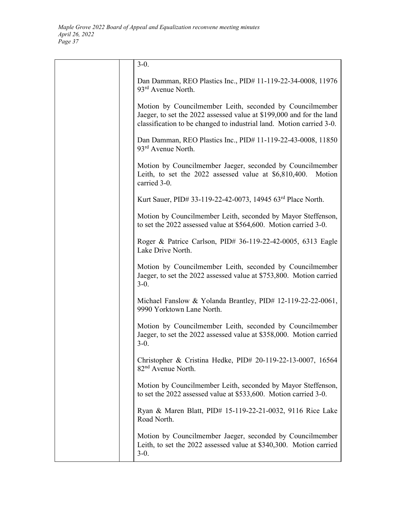| $3-0.$                                                                                                                                                                                                   |
|----------------------------------------------------------------------------------------------------------------------------------------------------------------------------------------------------------|
| Dan Damman, REO Plastics Inc., PID# 11-119-22-34-0008, 11976<br>$93rd$ Avenue North.                                                                                                                     |
| Motion by Councilmember Leith, seconded by Councilmember<br>Jaeger, to set the 2022 assessed value at \$199,000 and for the land<br>classification to be changed to industrial land. Motion carried 3-0. |
| Dan Damman, REO Plastics Inc., PID# 11-119-22-43-0008, 11850<br>93 <sup>rd</sup> Avenue North.                                                                                                           |
| Motion by Councilmember Jaeger, seconded by Councilmember<br>Leith, to set the $2022$ assessed value at $$6,810,400$ .<br>Motion<br>carried 3-0.                                                         |
| Kurt Sauer, PID# 33-119-22-42-0073, 14945 63rd Place North.                                                                                                                                              |
| Motion by Councilmember Leith, seconded by Mayor Steffenson,<br>to set the 2022 assessed value at \$564,600. Motion carried 3-0.                                                                         |
| Roger & Patrice Carlson, PID# 36-119-22-42-0005, 6313 Eagle<br>Lake Drive North.                                                                                                                         |
| Motion by Councilmember Leith, seconded by Councilmember<br>Jaeger, to set the 2022 assessed value at \$753,800. Motion carried<br>$3-0.$                                                                |
| Michael Fanslow & Yolanda Brantley, PID# 12-119-22-22-0061,<br>9990 Yorktown Lane North.                                                                                                                 |
| Motion by Councilmember Leith, seconded by Councilmember<br>Jaeger, to set the 2022 assessed value at \$358,000. Motion carried<br>$3-0.$                                                                |
| Christopher & Cristina Hedke, PID# 20-119-22-13-0007, 16564<br>82 <sup>nd</sup> Avenue North.                                                                                                            |
| Motion by Councilmember Leith, seconded by Mayor Steffenson,<br>to set the 2022 assessed value at \$533,600. Motion carried 3-0.                                                                         |
| Ryan & Maren Blatt, PID# 15-119-22-21-0032, 9116 Rice Lake<br>Road North.                                                                                                                                |
| Motion by Councilmember Jaeger, seconded by Councilmember<br>Leith, to set the 2022 assessed value at \$340,300. Motion carried<br>$3-0.$                                                                |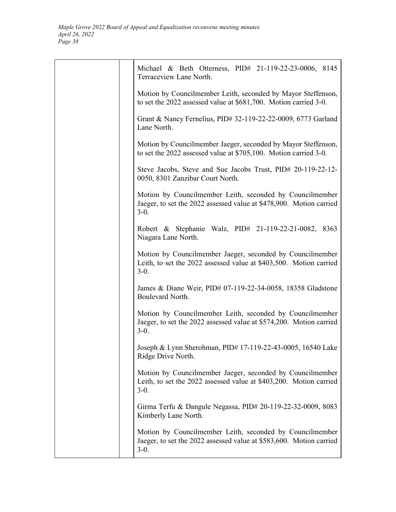| Michael & Beth Otterness, PID# 21-119-22-23-0006, 8145<br>Terraceview Lane North.                                                         |
|-------------------------------------------------------------------------------------------------------------------------------------------|
| Motion by Councilmember Leith, seconded by Mayor Steffenson,<br>to set the 2022 assessed value at \$681,700. Motion carried 3-0.          |
| Grant & Nancy Fernelius, PID# 32-119-22-22-0009, 6773 Garland<br>Lane North.                                                              |
| Motion by Councilmember Jaeger, seconded by Mayor Steffenson,<br>to set the 2022 assessed value at \$705,100. Motion carried 3-0.         |
| Steve Jacobs, Steve and Sue Jacobs Trust, PID# 20-119-22-12-<br>0050, 8301 Zanzibar Court North.                                          |
| Motion by Councilmember Leith, seconded by Councilmember<br>Jaeger, to set the 2022 assessed value at \$478,900. Motion carried<br>$3-0.$ |
| Robert & Stephanie Walz, PID# 21-119-22-21-0082, 8363<br>Niagara Lane North.                                                              |
| Motion by Councilmember Jaeger, seconded by Councilmember<br>Leith, to set the 2022 assessed value at \$403,500. Motion carried<br>$3-0.$ |
| James & Diane Weir, PID# 07-119-22-34-0058, 18358 Gladstone<br>Boulevard North.                                                           |
| Motion by Councilmember Leith, seconded by Councilmember<br>Jaeger, to set the 2022 assessed value at \$574,200. Motion carried<br>$3-0.$ |
| Joseph & Lynn Sherohman, PID# 17-119-22-43-0005, 16540 Lake<br>Ridge Drive North.                                                         |
| Motion by Councilmember Jaeger, seconded by Councilmember<br>Leith, to set the 2022 assessed value at \$403,200. Motion carried<br>$3-0.$ |
| Girma Terfu & Dangule Negassa, PID# 20-119-22-32-0009, 8083<br>Kimberly Lane North.                                                       |
| Motion by Councilmember Leith, seconded by Councilmember<br>Jaeger, to set the 2022 assessed value at \$583,600. Motion carried<br>$3-0.$ |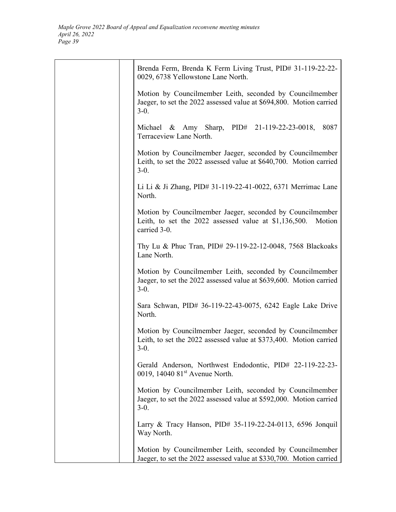| Brenda Ferm, Brenda K Ferm Living Trust, PID# 31-119-22-22-<br>0029, 6738 Yellowstone Lane North.                                              |
|------------------------------------------------------------------------------------------------------------------------------------------------|
| Motion by Councilmember Leith, seconded by Councilmember<br>Jaeger, to set the 2022 assessed value at \$694,800. Motion carried<br>$3-0.$      |
| Michael & Amy Sharp, PID# 21-119-22-23-0018,<br>8087<br>Terraceview Lane North.                                                                |
| Motion by Councilmember Jaeger, seconded by Councilmember<br>Leith, to set the 2022 assessed value at \$640,700. Motion carried<br>$3-0.$      |
| Li Li & Ji Zhang, PID# 31-119-22-41-0022, 6371 Merrimac Lane<br>North.                                                                         |
| Motion by Councilmember Jaeger, seconded by Councilmember<br>Leith, to set the $2022$ assessed value at \$1,136,500.<br>Motion<br>carried 3-0. |
| Thy Lu & Phuc Tran, PID# 29-119-22-12-0048, 7568 Blackoaks<br>Lane North.                                                                      |
| Motion by Councilmember Leith, seconded by Councilmember<br>Jaeger, to set the 2022 assessed value at \$639,600. Motion carried<br>$3-0.$      |
| Sara Schwan, PID# 36-119-22-43-0075, 6242 Eagle Lake Drive<br>North.                                                                           |
| Motion by Councilmember Jaeger, seconded by Councilmember<br>Leith, to set the 2022 assessed value at \$373,400. Motion carried<br>$3-0.$      |
| Gerald Anderson, Northwest Endodontic, PID# 22-119-22-23-<br>0019, 14040 81 <sup>st</sup> Avenue North.                                        |
| Motion by Councilmember Leith, seconded by Councilmember<br>Jaeger, to set the 2022 assessed value at \$592,000. Motion carried<br>$3-0.$      |
| Larry & Tracy Hanson, PID# 35-119-22-24-0113, 6596 Jonquil<br>Way North.                                                                       |
| Motion by Councilmember Leith, seconded by Councilmember<br>Jaeger, to set the 2022 assessed value at \$330,700. Motion carried                |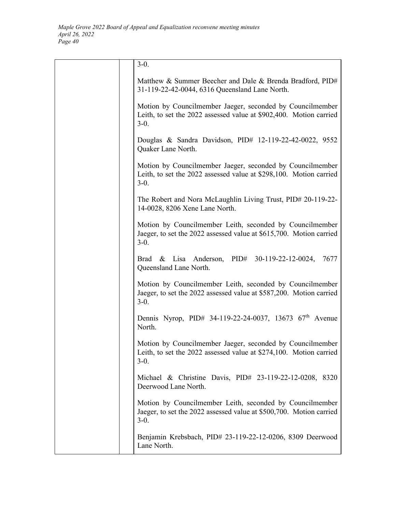| $3-0.$                                                                                                                                    |
|-------------------------------------------------------------------------------------------------------------------------------------------|
| Matthew & Summer Beecher and Dale & Brenda Bradford, PID#<br>31-119-22-42-0044, 6316 Queensland Lane North.                               |
| Motion by Councilmember Jaeger, seconded by Councilmember<br>Leith, to set the 2022 assessed value at \$902,400. Motion carried<br>$3-0.$ |
| Douglas & Sandra Davidson, PID# 12-119-22-42-0022, 9552<br>Quaker Lane North.                                                             |
| Motion by Councilmember Jaeger, seconded by Councilmember<br>Leith, to set the 2022 assessed value at \$298,100. Motion carried<br>$3-0.$ |
| The Robert and Nora McLaughlin Living Trust, PID# 20-119-22-<br>14-0028, 8206 Xene Lane North.                                            |
| Motion by Councilmember Leith, seconded by Councilmember<br>Jaeger, to set the 2022 assessed value at \$615,700. Motion carried<br>$3-0.$ |
| Lisa Anderson, PID# 30-119-22-12-0024,<br>Brad $\&$<br>7677<br>Queensland Lane North.                                                     |
| Motion by Councilmember Leith, seconded by Councilmember<br>Jaeger, to set the 2022 assessed value at \$587,200. Motion carried<br>$3-0.$ |
| Dennis Nyrop, PID# 34-119-22-24-0037, 13673 67 <sup>th</sup> Avenue<br>North.                                                             |
| Motion by Councilmember Jaeger, seconded by Councilmember<br>Leith, to set the 2022 assessed value at \$274,100. Motion carried<br>$3-0.$ |
| Michael & Christine Davis, PID# 23-119-22-12-0208, 8320<br>Deerwood Lane North.                                                           |
| Motion by Councilmember Leith, seconded by Councilmember<br>Jaeger, to set the 2022 assessed value at \$500,700. Motion carried<br>$3-0.$ |
| Benjamin Krebsbach, PID# 23-119-22-12-0206, 8309 Deerwood<br>Lane North.                                                                  |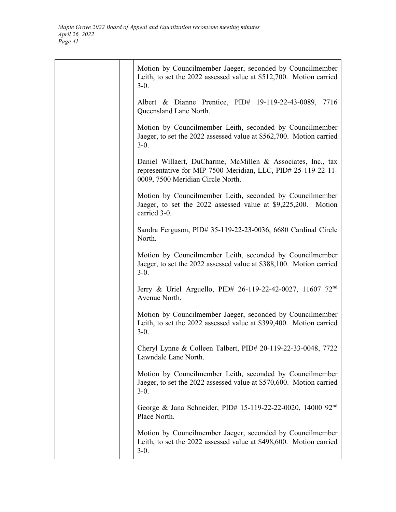| Motion by Councilmember Jaeger, seconded by Councilmember<br>Leith, to set the 2022 assessed value at \$512,700. Motion carried<br>$3-0.$                         |
|-------------------------------------------------------------------------------------------------------------------------------------------------------------------|
| Albert & Dianne Prentice, PID# 19-119-22-43-0089, 7716<br>Queensland Lane North.                                                                                  |
| Motion by Councilmember Leith, seconded by Councilmember<br>Jaeger, to set the 2022 assessed value at \$562,700. Motion carried<br>$3-0.$                         |
| Daniel Willaert, DuCharme, McMillen & Associates, Inc., tax<br>representative for MIP 7500 Meridian, LLC, PID# 25-119-22-11-<br>0009, 7500 Meridian Circle North. |
| Motion by Councilmember Leith, seconded by Councilmember<br>Jaeger, to set the 2022 assessed value at \$9,225,200. Motion<br>carried 3-0.                         |
| Sandra Ferguson, PID# 35-119-22-23-0036, 6680 Cardinal Circle<br>North.                                                                                           |
| Motion by Councilmember Leith, seconded by Councilmember<br>Jaeger, to set the 2022 assessed value at \$388,100. Motion carried<br>$3-0.$                         |
| Jerry & Uriel Arguello, PID# 26-119-22-42-0027, 11607 72 <sup>nd</sup><br>Avenue North.                                                                           |
| Motion by Councilmember Jaeger, seconded by Councilmember<br>Leith, to set the 2022 assessed value at \$399,400. Motion carried<br>$3-0.$                         |
| Cheryl Lynne & Colleen Talbert, PID# 20-119-22-33-0048, 7722<br>Lawndale Lane North.                                                                              |
| Motion by Councilmember Leith, seconded by Councilmember<br>Jaeger, to set the 2022 assessed value at \$570,600. Motion carried<br>$3-0.$                         |
| George & Jana Schneider, PID# 15-119-22-22-0020, 14000 92 <sup>nd</sup><br>Place North.                                                                           |
| Motion by Councilmember Jaeger, seconded by Councilmember<br>Leith, to set the 2022 assessed value at \$498,600. Motion carried<br>$3-0.$                         |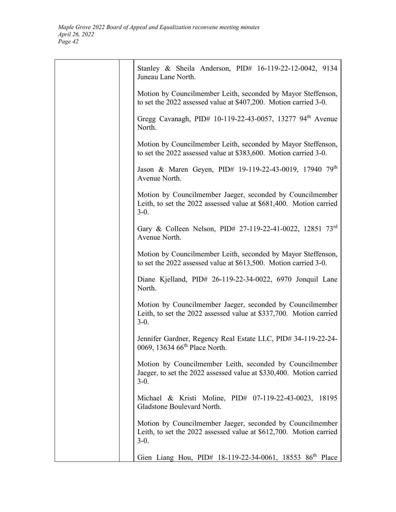| Stanley & Sheila Anderson, PID# 16-119-22-12-0042, 9134<br>Juneau Lane North.                                                             |
|-------------------------------------------------------------------------------------------------------------------------------------------|
| Motion by Councilmember Leith, seconded by Mayor Steffenson,<br>to set the 2022 assessed value at \$407,200. Motion carried 3-0.          |
| Gregg Cavanagh, PID# 10-119-22-43-0057, 13277 94 <sup>th</sup> Avenue<br>North.                                                           |
| Motion by Councilmember Leith, seconded by Mayor Steffenson,<br>to set the 2022 assessed value at \$383,600. Motion carried 3-0.          |
| Jason & Maren Geyen, PID# 19-119-22-43-0019, 17940 79th<br>Avenue North.                                                                  |
| Motion by Councilmember Jaeger, seconded by Councilmember<br>Leith, to set the 2022 assessed value at \$681,400. Motion carried<br>$3-0.$ |
| Gary & Colleen Nelson, PID# 27-119-22-41-0022, 12851 73rd<br>Avenue North.                                                                |
| Motion by Councilmember Leith, seconded by Mayor Steffenson,<br>to set the 2022 assessed value at \$613,500. Motion carried 3-0.          |
| Diane Kjelland, PID# 26-119-22-34-0022, 6970 Jonquil Lane<br>North.                                                                       |
| Motion by Councilmember Jaeger, seconded by Councilmember<br>Leith, to set the 2022 assessed value at \$337,700. Motion carried<br>$3-0.$ |
| Jennifer Gardner, Regency Real Estate LLC, PID# 34-119-22-24-<br>0069, 13634 66 <sup>th</sup> Place North.                                |
| Motion by Councilmember Leith, seconded by Councilmember<br>Jaeger, to set the 2022 assessed value at \$330,400. Motion carried<br>$3-0.$ |
| Michael & Kristi Moline, PID# 07-119-22-43-0023,<br>18195<br>Gladstone Boulevard North.                                                   |
| Motion by Councilmember Jaeger, seconded by Councilmember<br>Leith, to set the 2022 assessed value at \$612,700. Motion carried<br>$3-0.$ |
| Gien Liang Hou, PID# 18-119-22-34-0061, 18553 86 <sup>th</sup> Place                                                                      |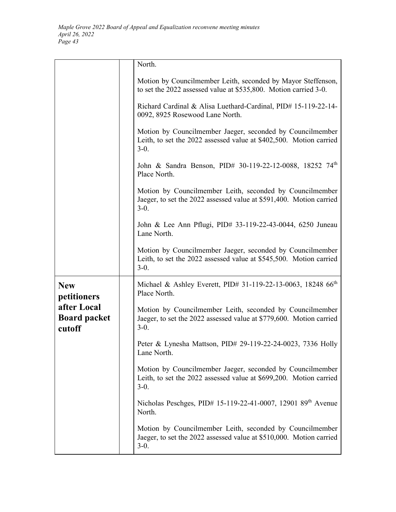|                                              | North.                                                                                                                                    |
|----------------------------------------------|-------------------------------------------------------------------------------------------------------------------------------------------|
|                                              | Motion by Councilmember Leith, seconded by Mayor Steffenson,<br>to set the 2022 assessed value at \$535,800. Motion carried 3-0.          |
|                                              | Richard Cardinal & Alisa Luethard-Cardinal, PID# 15-119-22-14-<br>0092, 8925 Rosewood Lane North.                                         |
|                                              | Motion by Councilmember Jaeger, seconded by Councilmember<br>Leith, to set the 2022 assessed value at \$402,500. Motion carried<br>$3-0.$ |
|                                              | John & Sandra Benson, PID# 30-119-22-12-0088, 18252 74th<br>Place North.                                                                  |
|                                              | Motion by Councilmember Leith, seconded by Councilmember<br>Jaeger, to set the 2022 assessed value at \$591,400. Motion carried<br>$3-0.$ |
|                                              | John & Lee Ann Pflugi, PID# 33-119-22-43-0044, 6250 Juneau<br>Lane North.                                                                 |
|                                              | Motion by Councilmember Jaeger, seconded by Councilmember<br>Leith, to set the 2022 assessed value at \$545,500. Motion carried<br>$3-0.$ |
| <b>New</b><br>petitioners                    | Michael & Ashley Everett, PID# 31-119-22-13-0063, 18248 66 <sup>th</sup><br>Place North.                                                  |
| after Local<br><b>Board packet</b><br>cutoff | Motion by Councilmember Leith, seconded by Councilmember<br>Jaeger, to set the 2022 assessed value at \$779,600. Motion carried<br>$3-0.$ |
|                                              | Peter & Lynesha Mattson, PID# 29-119-22-24-0023, 7336 Holly<br>Lane North.                                                                |
|                                              | Motion by Councilmember Jaeger, seconded by Councilmember<br>Leith, to set the 2022 assessed value at \$699,200. Motion carried<br>$3-0.$ |
|                                              | Nicholas Peschges, PID# 15-119-22-41-0007, 12901 89 <sup>th</sup> Avenue<br>North.                                                        |
|                                              | Motion by Councilmember Leith, seconded by Councilmember<br>Jaeger, to set the 2022 assessed value at \$510,000. Motion carried<br>$3-0.$ |